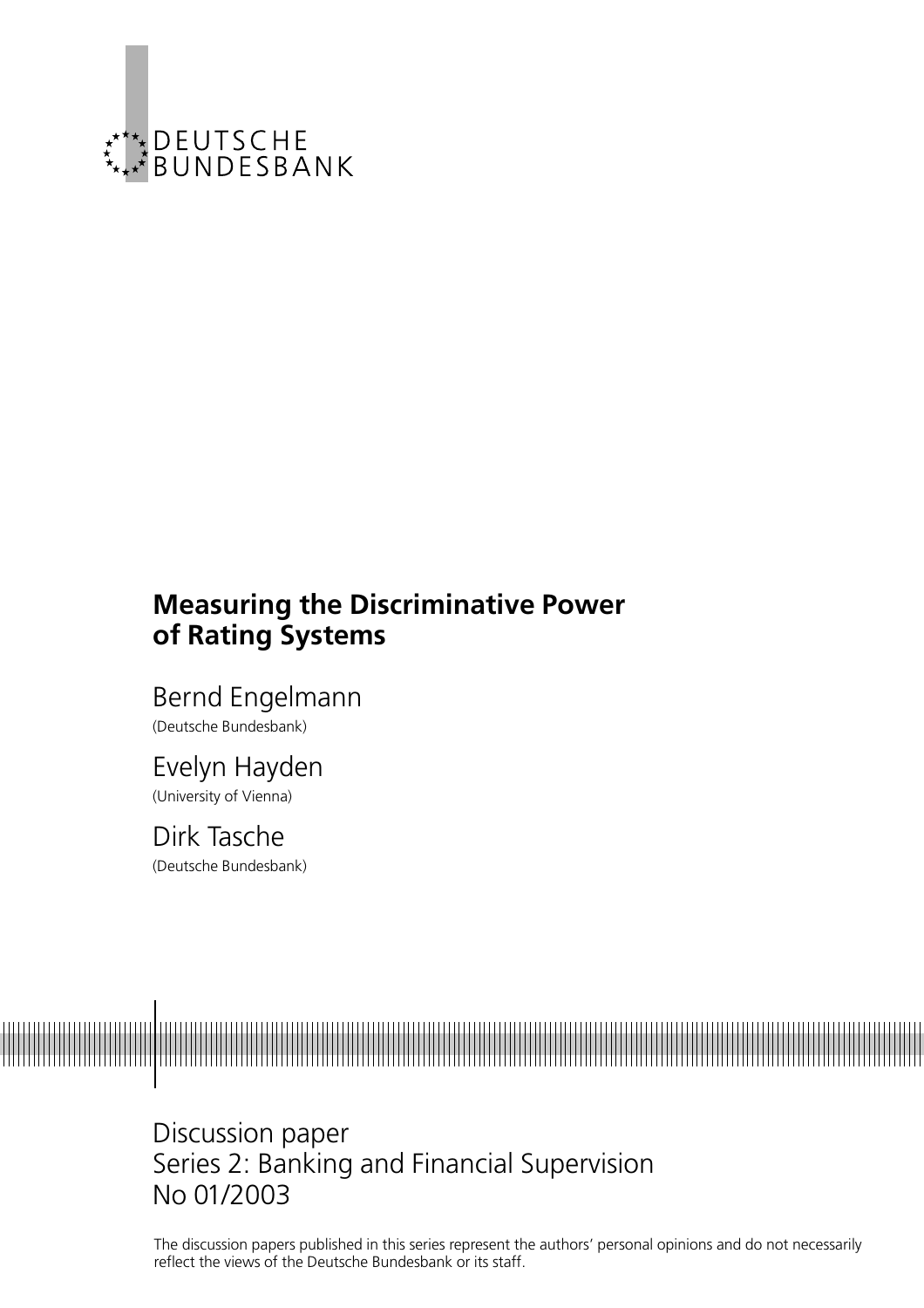

# Measuring the Discriminative Power of Rating Systems

Bernd Engelmann (Deutsche Bundesbank)

## Evelyn Hayden (University of Vienna)

Dirk Tasche (Deutsche Bundesbank)



Discussion paper Series 2: Banking and Financial Supervision No 01/2003

The discussion papers published in this series represent the authors' personal opinions and do not necessarily reflect the views of the Deutsche Bundesbank or its staff.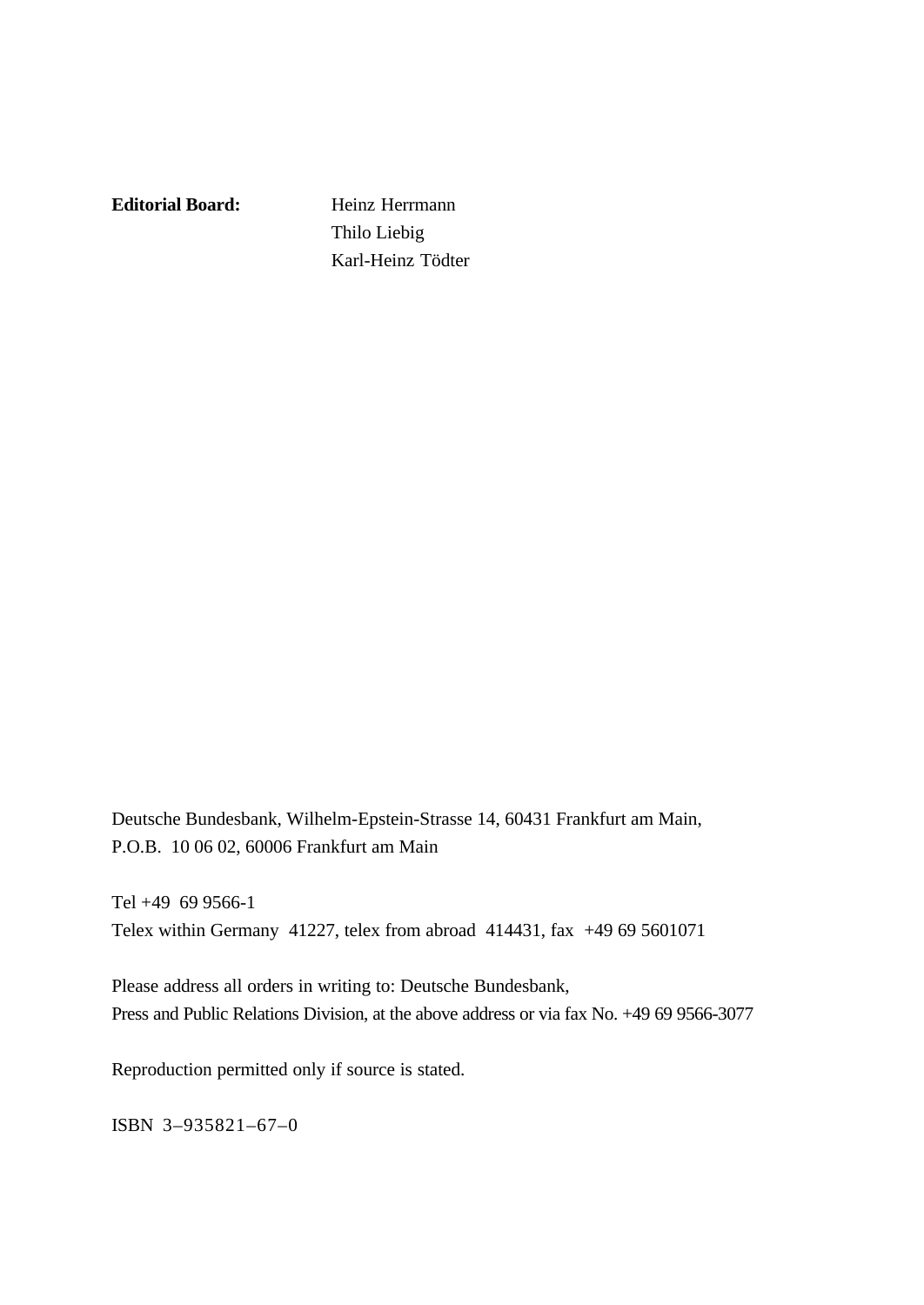**Editorial Board:** Heinz Herrmann

Thilo Liebig Karl-Heinz Tödter

Deutsche Bundesbank, Wilhelm-Epstein-Strasse 14, 60431 Frankfurt am Main, P.O.B. 10 06 02, 60006 Frankfurt am Main

Tel +49 69 9566-1 Telex within Germany 41227, telex from abroad 414431, fax +49 69 5601071

Please address all orders in writing to: Deutsche Bundesbank, Press and Public Relations Division, at the above address or via fax No. +49 69 9566-3077

Reproduction permitted only if source is stated.

ISBN 3–935821–67–0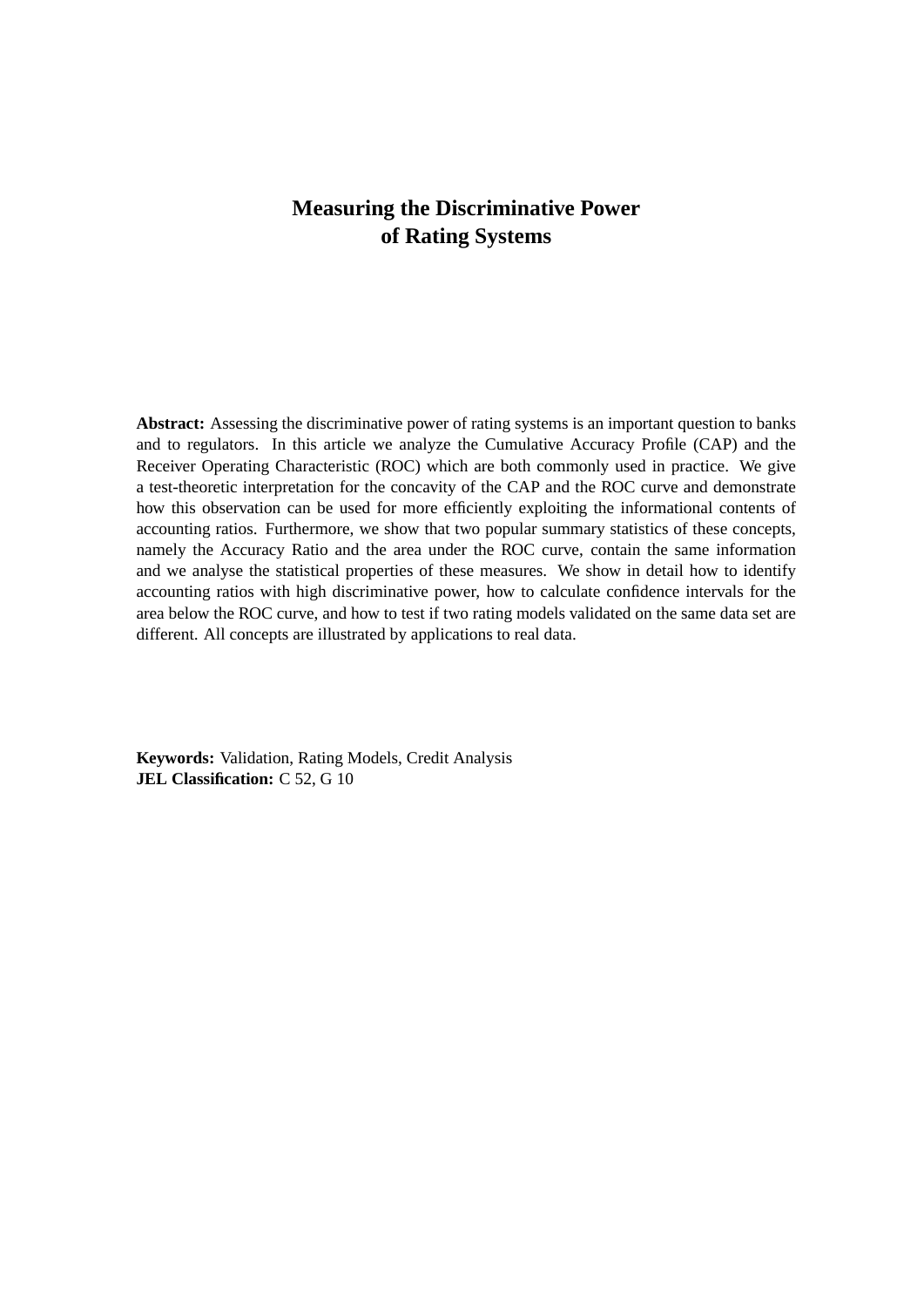## **Measuring the Discriminative Power of Rating Systems**

**Abstract:** Assessing the discriminative power of rating systems is an important question to banks and to regulators. In this article we analyze the Cumulative Accuracy Profile (CAP) and the Receiver Operating Characteristic (ROC) which are both commonly used in practice. We give a test-theoretic interpretation for the concavity of the CAP and the ROC curve and demonstrate how this observation can be used for more efficiently exploiting the informational contents of accounting ratios. Furthermore, we show that two popular summary statistics of these concepts, namely the Accuracy Ratio and the area under the ROC curve, contain the same information and we analyse the statistical properties of these measures. We show in detail how to identify accounting ratios with high discriminative power, how to calculate confidence intervals for the area below the ROC curve, and how to test if two rating models validated on the same data set are different. All concepts are illustrated by applications to real data.

**Keywords:** Validation, Rating Models, Credit Analysis **JEL Classification:** C 52, G 10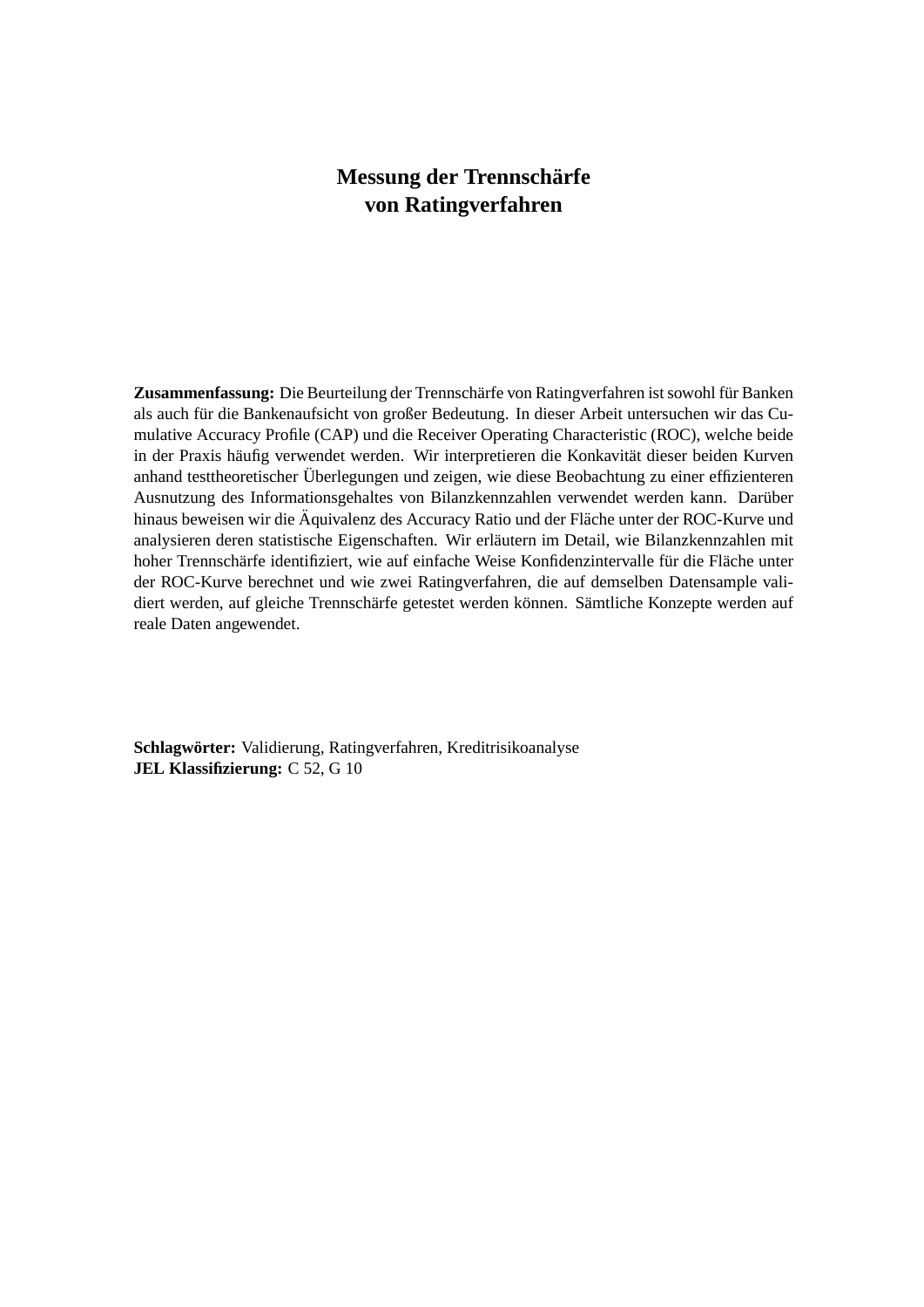## **Messung der Trennschärfe von Ratingverfahren**

Zusammenfassung: Die Beurteilung der Trennschärfe von Ratingverfahren ist sowohl für Banken als auch fur die Bankenaufsicht von großer Bedeutung. In dieser Arbeit untersuchen wir das Cu- ¨ mulative Accuracy Profile (CAP) und die Receiver Operating Characteristic (ROC), welche beide in der Praxis häufig verwendet werden. Wir interpretieren die Konkavität dieser beiden Kurven anhand testtheoretischer Überlegungen und zeigen, wie diese Beobachtung zu einer effizienteren Ausnutzung des Informationsgehaltes von Bilanzkennzahlen verwendet werden kann. Daruber ¨ hinaus beweisen wir die Äquivalenz des Accuracy Ratio und der Fläche unter der ROC-Kurve und analysieren deren statistische Eigenschaften. Wir erläutern im Detail, wie Bilanzkennzahlen mit hoher Trennschärfe identifiziert, wie auf einfache Weise Konfidenzintervalle für die Fläche unter der ROC-Kurve berechnet und wie zwei Ratingverfahren, die auf demselben Datensample validiert werden, auf gleiche Trennschärfe getestet werden können. Sämtliche Konzepte werden auf reale Daten angewendet.

**Schlagworter: ¨** Validierung, Ratingverfahren, Kreditrisikoanalyse **JEL Klassifizierung:** C 52, G 10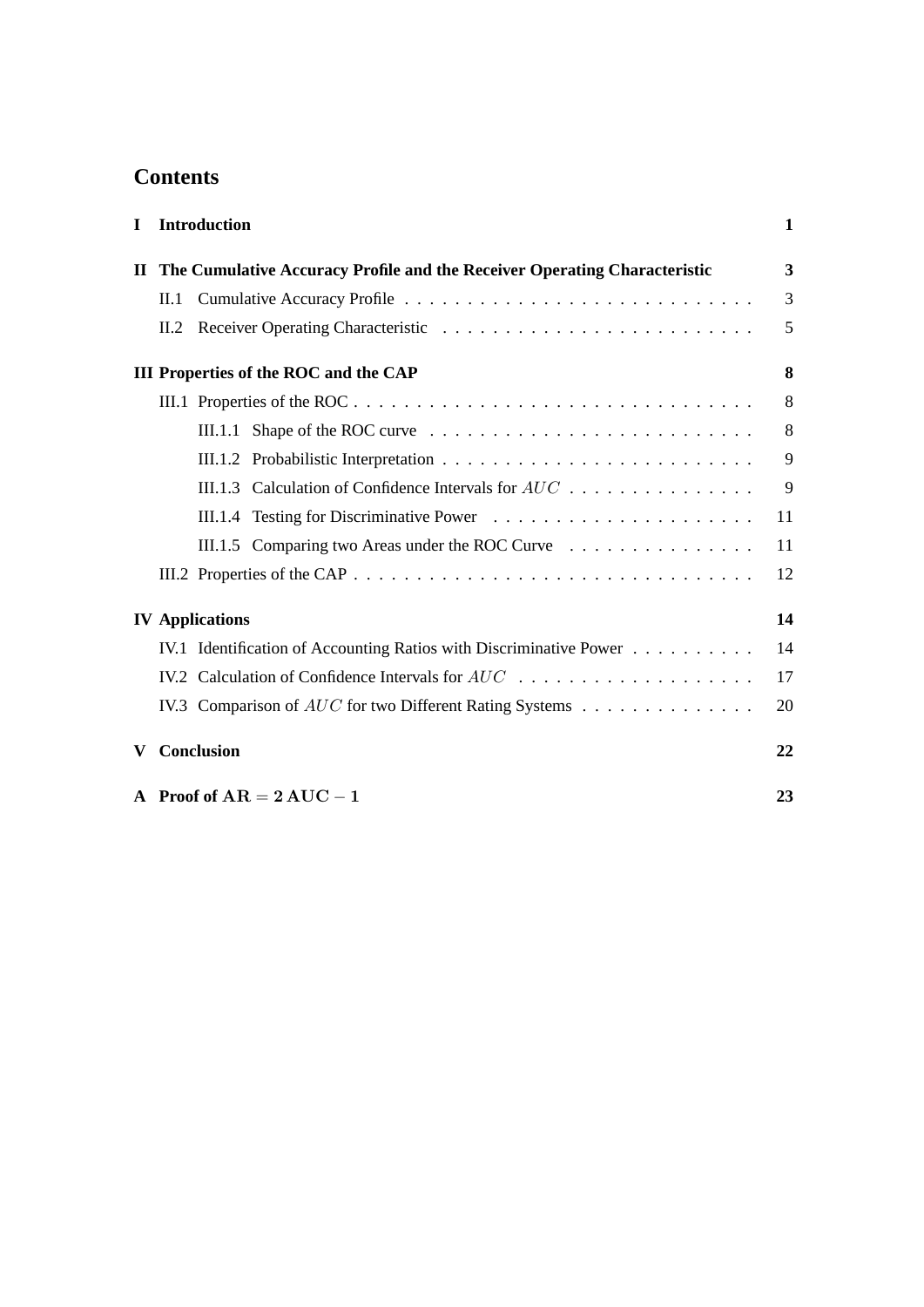## **Contents**

| $\mathbf I$ | <b>Introduction</b>                                                       | $\mathbf{1}$ |
|-------------|---------------------------------------------------------------------------|--------------|
| $\mathbf H$ | The Cumulative Accuracy Profile and the Receiver Operating Characteristic | 3            |
|             | II.1                                                                      | 3            |
|             | II.2                                                                      | 5            |
|             | <b>III Properties of the ROC and the CAP</b>                              | 8            |
|             | III.1 Properties of the ROC                                               | 8            |
|             |                                                                           | 8            |
|             |                                                                           | 9            |
|             | III.1.3 Calculation of Confidence Intervals for $AUC$ ,                   | 9            |
|             |                                                                           | 11           |
|             | III.1.5 Comparing two Areas under the ROC Curve                           | 11           |
|             |                                                                           | 12           |
|             | <b>IV</b> Applications                                                    | 14           |
|             | IV.1 Identification of Accounting Ratios with Discriminative Power        | 14           |
|             |                                                                           | 17           |
|             | IV.3 Comparison of AUC for two Different Rating Systems                   | 20           |
| V           | Conclusion                                                                | 22           |
|             | A Proof of $AR = 2 AUC - 1$                                               | 23           |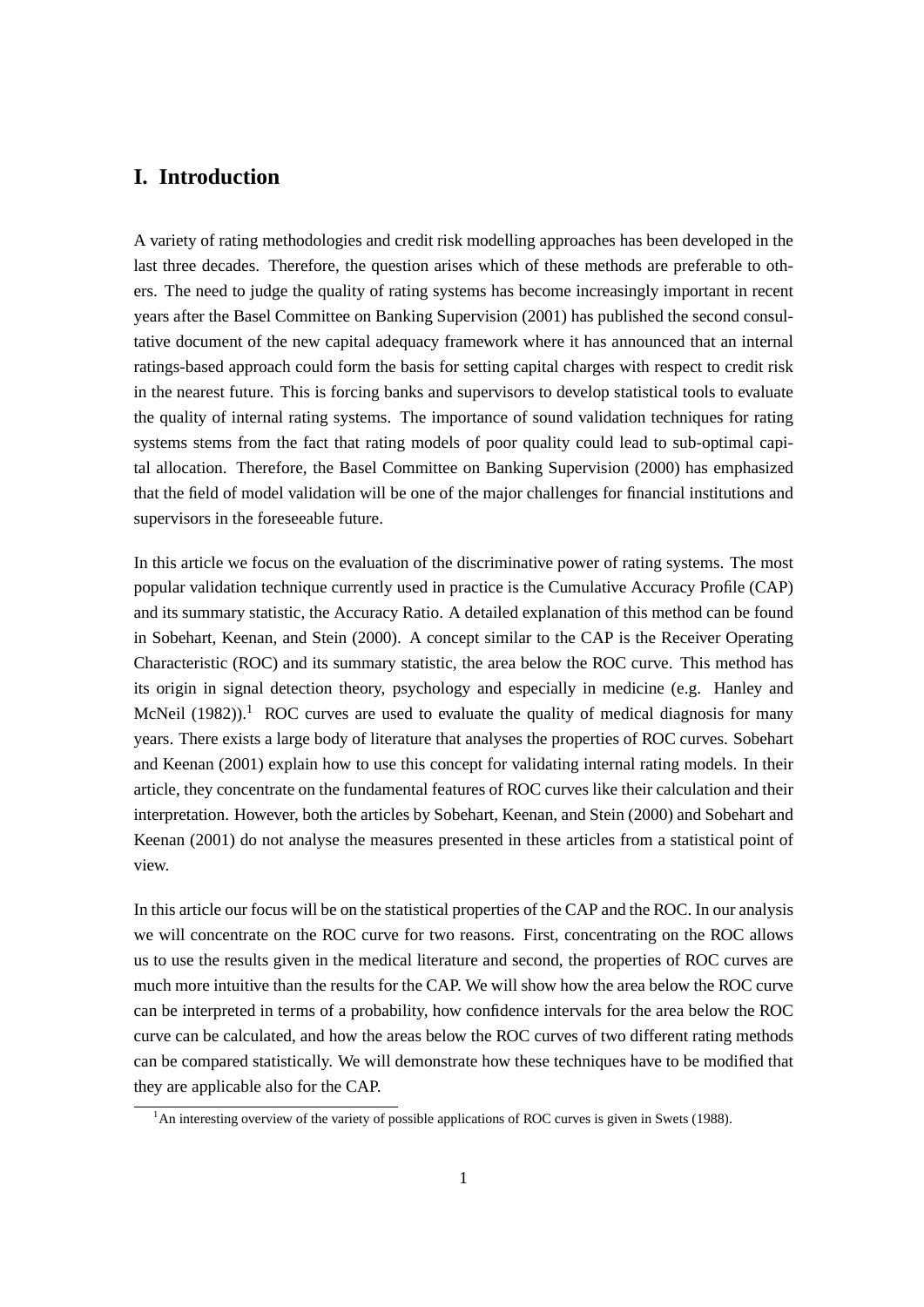## <span id="page-6-0"></span>**I. Introduction**

A variety of rating methodologies and credit risk modelling approaches has been developed in the last three decades. Therefore, the question arises which of these methods are preferable to others. The need to judge the quality of rating systems has become increasingly important in recent years after the [Basel Committee on Banking Supervision](#page-29-0) [\(2001\)](#page-29-0) has published the second consultative document of the new capital adequacy framework where it has announced that an internal ratings-based approach could form the basis for setting capital charges with respect to credit risk in the nearest future. This is forcing banks and supervisors to develop statistical tools to evaluate the quality of internal rating systems. The importance of sound validation techniques for rating systems stems from the fact that rating models of poor quality could lead to sub-optimal capital allocation. Therefore, the [Basel Committee on Banking Supervision](#page-29-1) [\(2000\)](#page-29-1) has emphasized that the field of model validation will be one of the major challenges for financial institutions and supervisors in the foreseeable future.

In this article we focus on the evaluation of the discriminative power of rating systems. The most popular validation technique currently used in practice is the Cumulative Accuracy Profile (CAP) and its summary statistic, the Accuracy Ratio. A detailed explanation of this method can be found in [Sobehart, Keenan, and Stein](#page-29-2) [\(2000\)](#page-29-2). A concept similar to the CAP is the Receiver Operating Characteristic (ROC) and its summary statistic, the area below the ROC curve. This method has its origin in signal detection theory, psychology and especially in medicine (e.g. [Hanley and](#page-29-3) [McNeil](#page-29-3) [\(1982\)](#page-29-3)).<sup>[1](#page-6-1)</sup> ROC curves are used to evaluate the quality of medical diagnosis for many years. There exists a large body of literature that analyses the properties of ROC curves. [Sobehart](#page-29-4) [and Keenan](#page-29-4) [\(2001\)](#page-29-4) explain how to use this concept for validating internal rating models. In their article, they concentrate on the fundamental features of ROC curves like their calculation and their interpretation. However, both the articles by [Sobehart, Keenan, and Stein](#page-29-2) [\(2000\)](#page-29-2) and [Sobehart and](#page-29-4) [Keenan](#page-29-4) [\(2001\)](#page-29-4) do not analyse the measures presented in these articles from a statistical point of view.

In this article our focus will be on the statistical properties of the CAP and the ROC. In our analysis we will concentrate on the ROC curve for two reasons. First, concentrating on the ROC allows us to use the results given in the medical literature and second, the properties of ROC curves are much more intuitive than the results for the CAP. We will show how the area below the ROC curve can be interpreted in terms of a probability, how confidence intervals for the area below the ROC curve can be calculated, and how the areas below the ROC curves of two different rating methods can be compared statistically. We will demonstrate how these techniques have to be modified that they are applicable also for the CAP.

<span id="page-6-1"></span> $1<sup>1</sup>$ An interesting overview of the variety of possible applications of ROC curves is given in [Swets](#page-29-5) [\(1988\)](#page-29-5).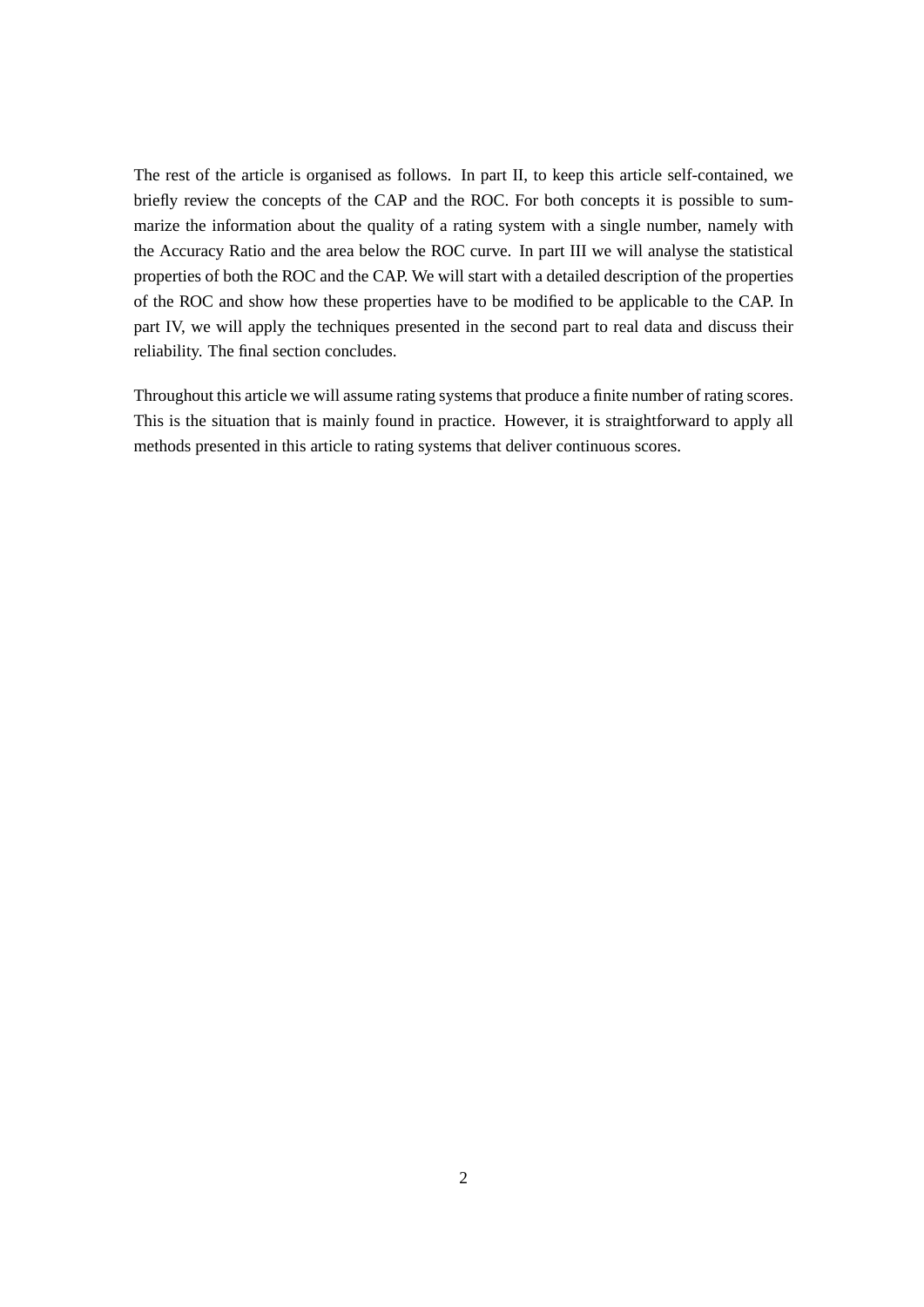The rest of the article is organised as follows. In part II, to keep this article self-contained, we briefly review the concepts of the CAP and the ROC. For both concepts it is possible to summarize the information about the quality of a rating system with a single number, namely with the Accuracy Ratio and the area below the ROC curve. In part III we will analyse the statistical properties of both the ROC and the CAP. We will start with a detailed description of the properties of the ROC and show how these properties have to be modified to be applicable to the CAP. In part IV, we will apply the techniques presented in the second part to real data and discuss their reliability. The final section concludes.

Throughout this article we will assume rating systems that produce a finite number of rating scores. This is the situation that is mainly found in practice. However, it is straightforward to apply all methods presented in this article to rating systems that deliver continuous scores.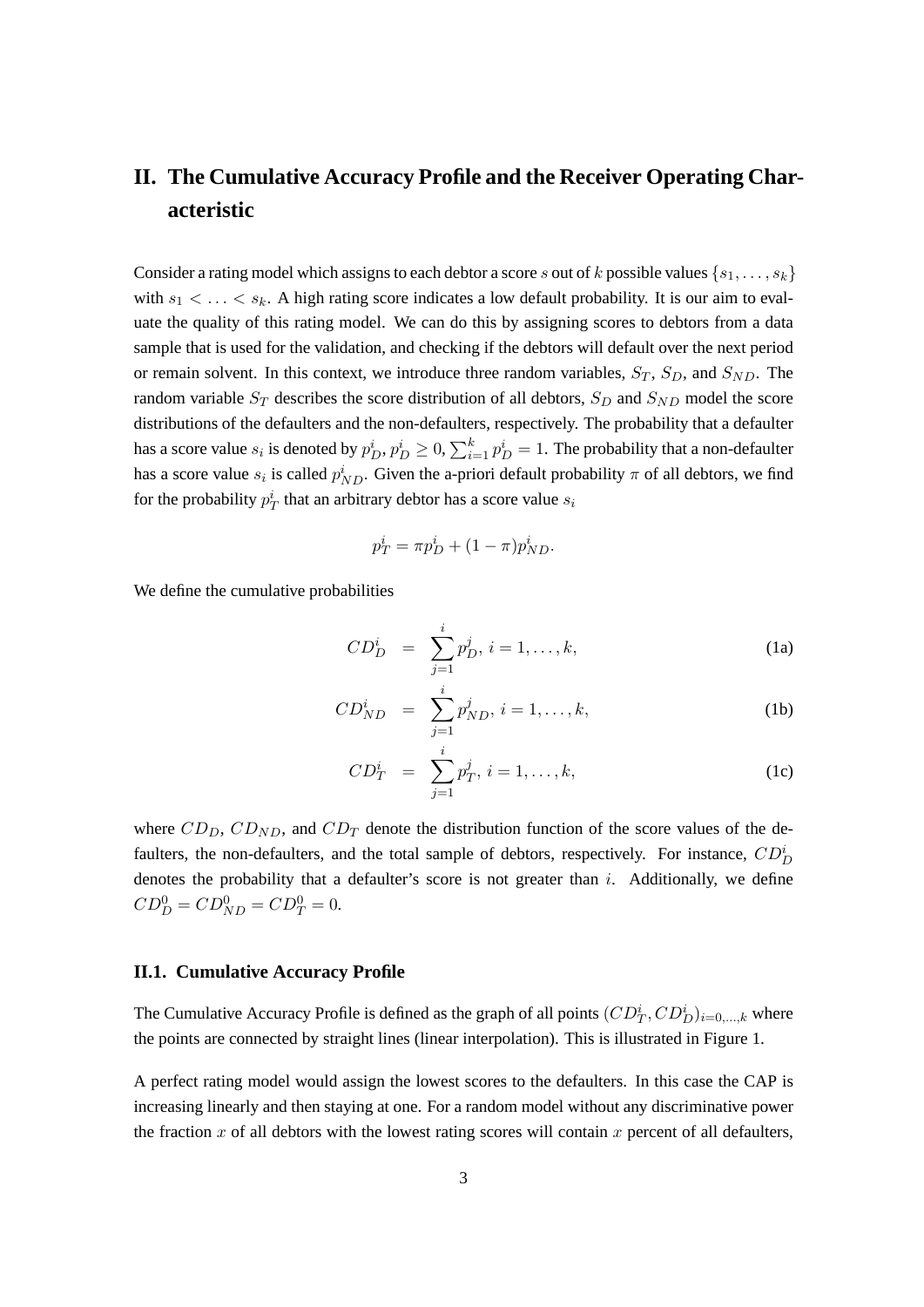## <span id="page-8-0"></span>**II. The Cumulative Accuracy Profile and the Receiver Operating Characteristic**

Consider a rating model which assigns to each debtor a score s out of k possible values  $\{s_1, \ldots, s_k\}$ with  $s_1 < \ldots < s_k$ . A high rating score indicates a low default probability. It is our aim to evaluate the quality of this rating model. We can do this by assigning scores to debtors from a data sample that is used for the validation, and checking if the debtors will default over the next period or remain solvent. In this context, we introduce three random variables,  $S_T$ ,  $S_D$ , and  $S_{ND}$ . The random variable  $S_T$  describes the score distribution of all debtors,  $S_D$  and  $S_{ND}$  model the score distributions of the defaulters and the non-defaulters, respectively. The probability that a defaulter has a score value  $s_i$  is denoted by  $p_D^i, p_D^i \ge 0, \sum_{i=1}^k p_D^i = 1.$  The probability that a non-defaulter has a score value  $s_i$  is called  $p_{ND}^i$ . Given the a-priori default probability  $\pi$  of all debtors, we find for the probability  $p_T^i$  that an arbitrary debtor has a score value  $s_i$ 

$$
p_T^i = \pi p_D^i + (1 - \pi) p_{ND}^i.
$$

We define the cumulative probabilities

$$
CD_D^i = \sum_{j=1}^i p_D^j, i = 1, ..., k,
$$
 (1a)

$$
CD_{ND}^{i} = \sum_{j=1}^{i} p_{ND}^{j}, i = 1, ..., k,
$$
 (1b)

$$
CD_T^i = \sum_{j=1}^i p_T^j, \, i = 1, \dots, k,\tag{1c}
$$

where  $CD_D$ ,  $CD_{ND}$ , and  $CD_T$  denote the distribution function of the score values of the defaulters, the non-defaulters, and the total sample of debtors, respectively. For instance,  $CD_D^i$ denotes the probability that a defaulter's score is not greater than  $i$ . Additionally, we define  $CD_D^0 = CD_{ND}^0 = CD_T^0 = 0.$ 

#### <span id="page-8-1"></span>**II.1. Cumulative Accuracy Profile**

The Cumulative Accuracy Profile is defined as the graph of all points  $(CD_T^i, CD_D^i)_{i=0,...,k}$  where the points are connected by straight lines (linear interpolation). This is illustrated in Figure [1.](#page-9-0)

A perfect rating model would assign the lowest scores to the defaulters. In this case the CAP is increasing linearly and then staying at one. For a random model without any discriminative power the fraction x of all debtors with the lowest rating scores will contain x percent of all defaulters,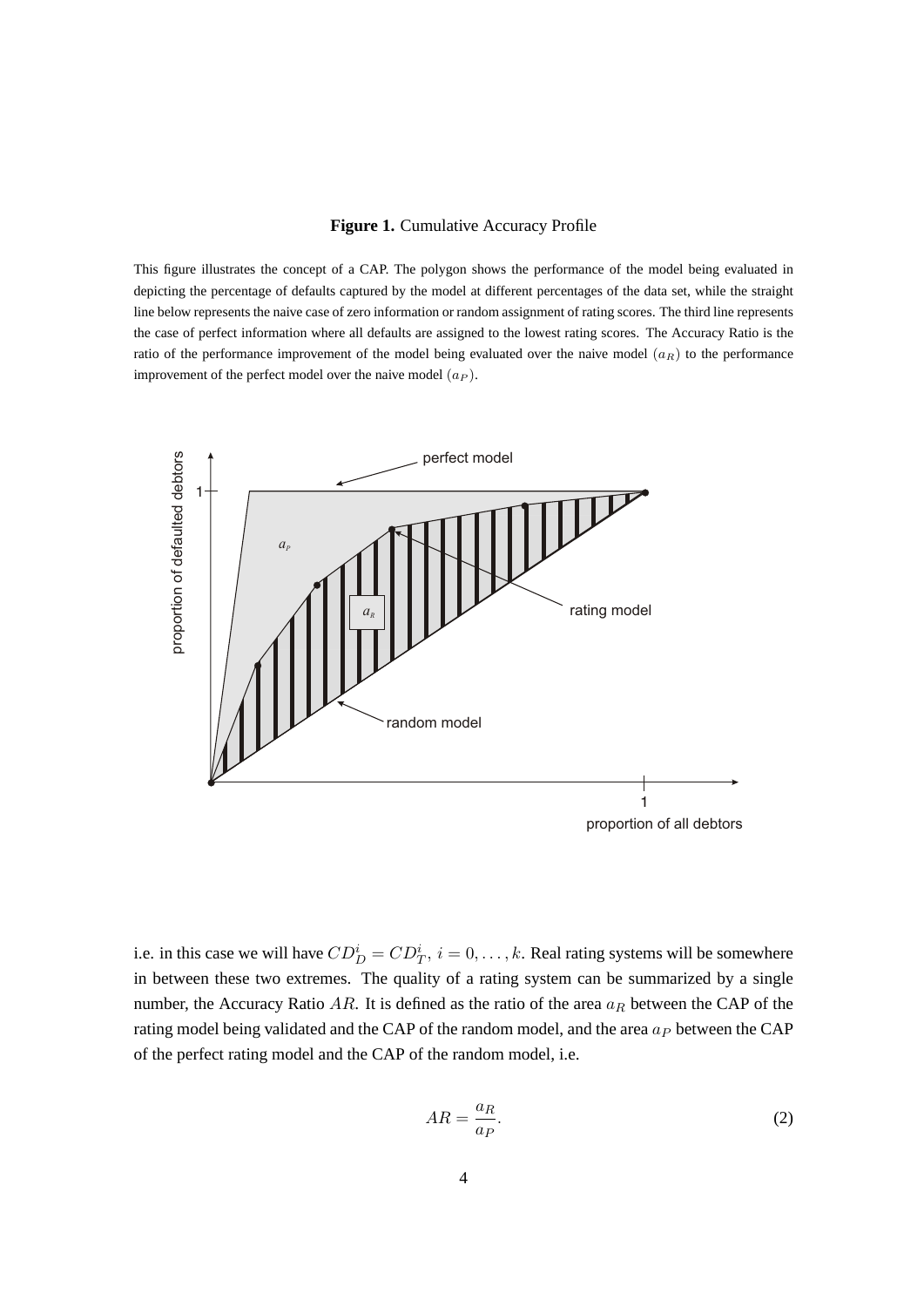#### <span id="page-9-0"></span>**Figure 1.** Cumulative Accuracy Profile

This figure illustrates the concept of a CAP. The polygon shows the performance of the model being evaluated in depicting the percentage of defaults captured by the model at different percentages of the data set, while the straight line below represents the naive case of zero information or random assignment of rating scores. The third line represents the case of perfect information where all defaults are assigned to the lowest rating scores. The Accuracy Ratio is the ratio of the performance improvement of the model being evaluated over the naive model  $(a_R)$  to the performance improvement of the perfect model over the naive model  $(a_P)$ .



i.e. in this case we will have  $CD_D^i = CD_T^i$ ,  $i = 0, \ldots, k$ . Real rating systems will be somewhere in between these two extremes. The quality of a rating system can be summarized by a single number, the Accuracy Ratio  $AR$ . It is defined as the ratio of the area  $a_R$  between the CAP of the rating model being validated and the CAP of the random model, and the area  $a<sub>P</sub>$  between the CAP of the perfect rating model and the CAP of the random model, i.e.

<span id="page-9-1"></span>
$$
AR = \frac{a_R}{a_P}.\tag{2}
$$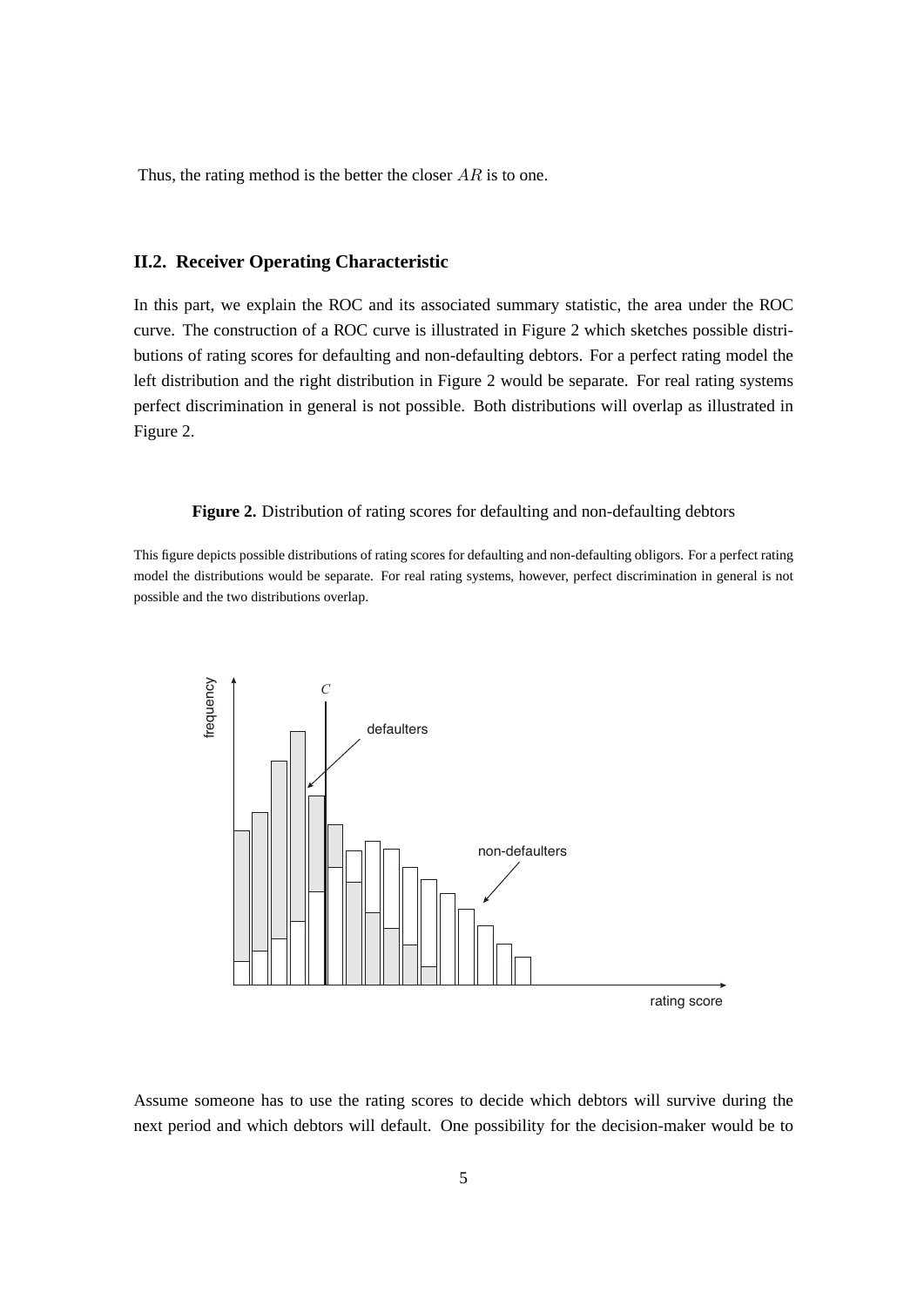Thus, the rating method is the better the closer  $AR$  is to one.

#### <span id="page-10-0"></span>**II.2. Receiver Operating Characteristic**

In this part, we explain the ROC and its associated summary statistic, the area under the ROC curve. The construction of a ROC curve is illustrated in Figure [2](#page-10-1) which sketches possible distributions of rating scores for defaulting and non-defaulting debtors. For a perfect rating model the left distribution and the right distribution in Figure [2](#page-10-1) would be separate. For real rating systems perfect discrimination in general is not possible. Both distributions will overlap as illustrated in Figure [2.](#page-10-1)

#### <span id="page-10-1"></span>**Figure 2.** Distribution of rating scores for defaulting and non-defaulting debtors

This figure depicts possible distributions of rating scores for defaulting and non-defaulting obligors. For a perfect rating model the distributions would be separate. For real rating systems, however, perfect discrimination in general is not possible and the two distributions overlap.



Assume someone has to use the rating scores to decide which debtors will survive during the next period and which debtors will default. One possibility for the decision-maker would be to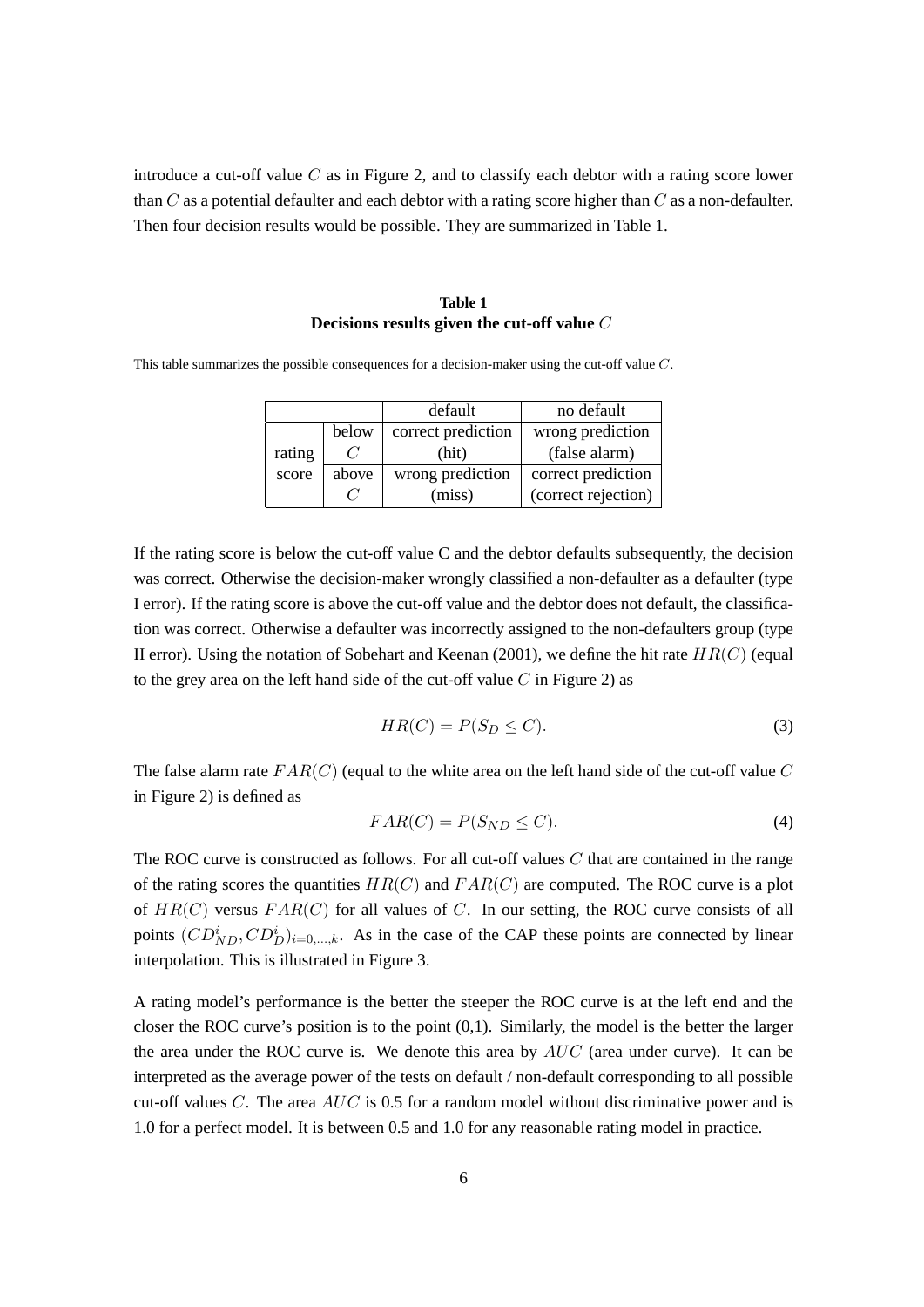introduce a cut-off value  $C$  as in Figure [2,](#page-10-1) and to classify each debtor with a rating score lower than C as a potential defaulter and each debtor with a rating score higher than C as a non-defaulter. Then four decision results would be possible. They are summarized in Table [1.](#page-11-0)

### **Table 1 Decisions results given the cut-off value** C

<span id="page-11-0"></span>This table summarizes the possible consequences for a decision-maker using the cut-off value C.

|        |       | default            | no default          |  |
|--------|-------|--------------------|---------------------|--|
|        | below | correct prediction | wrong prediction    |  |
| rating |       | (hit)              | (false alarm)       |  |
| score  | above | wrong prediction   | correct prediction  |  |
|        |       | (miss)             | (correct rejection) |  |

If the rating score is below the cut-off value C and the debtor defaults subsequently, the decision was correct. Otherwise the decision-maker wrongly classified a non-defaulter as a defaulter (type I error). If the rating score is above the cut-off value and the debtor does not default, the classification was correct. Otherwise a defaulter was incorrectly assigned to the non-defaulters group (type II error). Using the notation of [Sobehart and Keenan](#page-29-4) [\(2001\)](#page-29-4), we define the hit rate  $HR(C)$  (equal to the grey area on the left hand side of the cut-off value  $C$  in Figure [2\)](#page-10-1) as

$$
HR(C) = P(S_D \le C). \tag{3}
$$

The false alarm rate  $FAR(C)$  (equal to the white area on the left hand side of the cut-off value C in Figure [2\)](#page-10-1) is defined as

$$
FAR(C) = P(S_{ND} \le C). \tag{4}
$$

The ROC curve is constructed as follows. For all cut-off values  $C$  that are contained in the range of the rating scores the quantities  $HR(C)$  and  $FAR(C)$  are computed. The ROC curve is a plot of  $HR(C)$  versus  $FAR(C)$  for all values of C. In our setting, the ROC curve consists of all points  $(CD_{ND}^i, CD_D^i)_{i=0,...,k}$ . As in the case of the CAP these points are connected by linear interpolation. This is illustrated in Figure [3.](#page-12-0)

A rating model's performance is the better the steeper the ROC curve is at the left end and the closer the ROC curve's position is to the point (0,1). Similarly, the model is the better the larger the area under the ROC curve is. We denote this area by  $AUC$  (area under curve). It can be interpreted as the average power of the tests on default / non-default corresponding to all possible cut-off values C. The area  $AUC$  is 0.5 for a random model without discriminative power and is 1.0 for a perfect model. It is between 0.5 and 1.0 for any reasonable rating model in practice.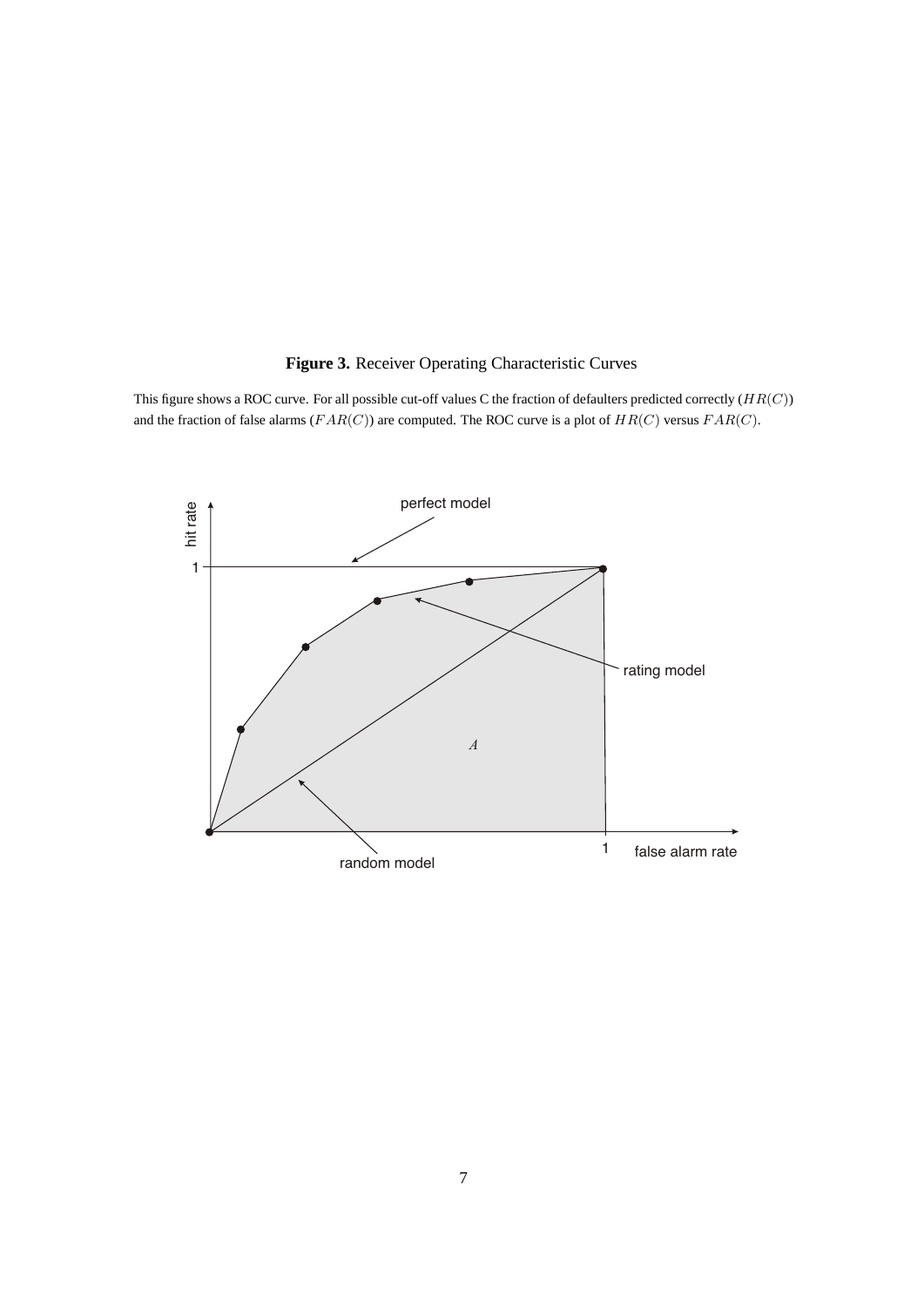## <span id="page-12-0"></span>**Figure 3.** Receiver Operating Characteristic Curves

This figure shows a ROC curve. For all possible cut-off values C the fraction of defaulters predicted correctly  $(HR(C))$ and the fraction of false alarms ( $FAR(C)$ ) are computed. The ROC curve is a plot of  $HR(C)$  versus  $FAR(C)$ .

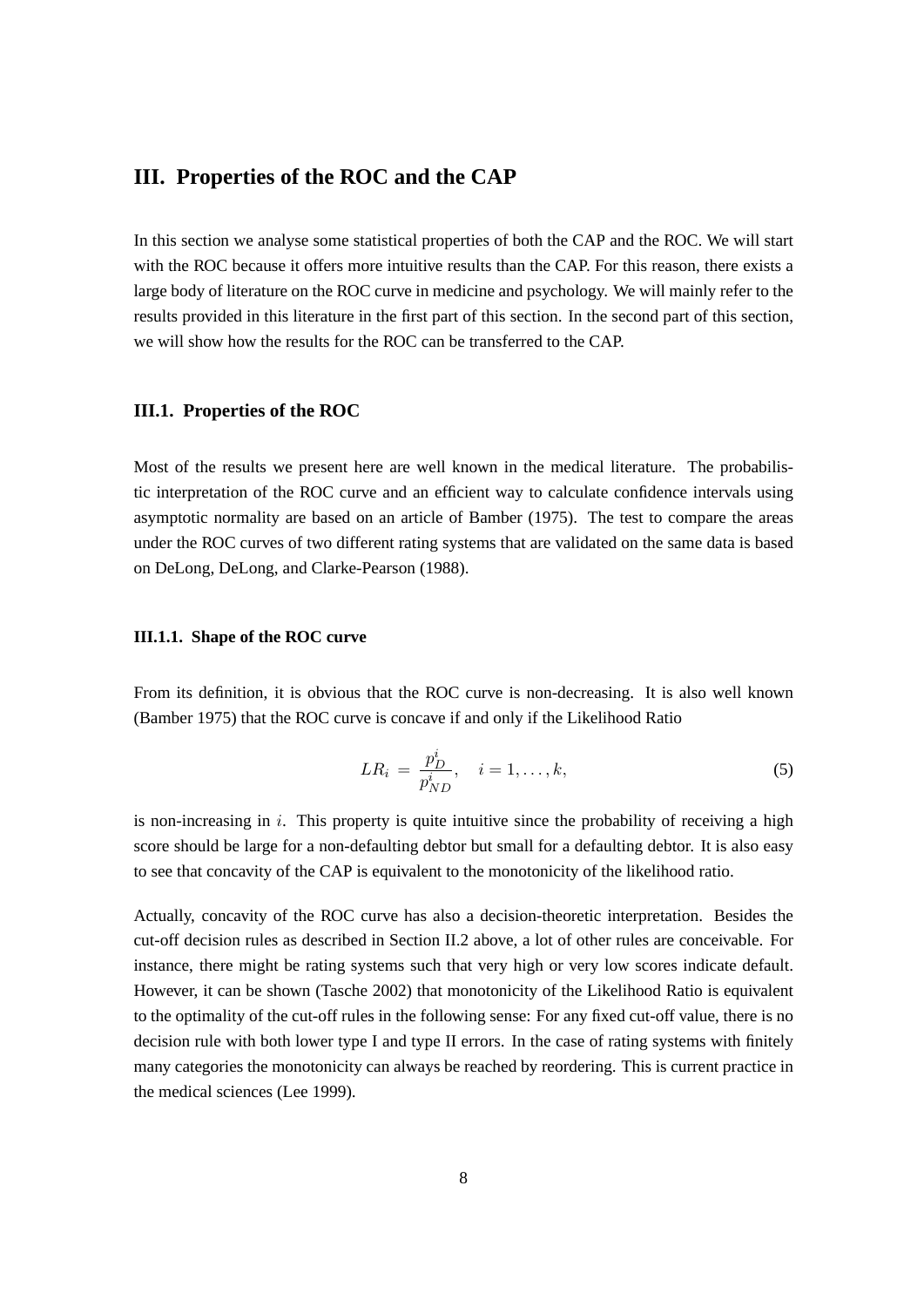## <span id="page-13-0"></span>**III. Properties of the ROC and the CAP**

In this section we analyse some statistical properties of both the CAP and the ROC. We will start with the ROC because it offers more intuitive results than the CAP. For this reason, there exists a large body of literature on the ROC curve in medicine and psychology. We will mainly refer to the results provided in this literature in the first part of this section. In the second part of this section, we will show how the results for the ROC can be transferred to the CAP.

#### <span id="page-13-1"></span>**III.1. Properties of the ROC**

Most of the results we present here are well known in the medical literature. The probabilistic interpretation of the ROC curve and an efficient way to calculate confidence intervals using asymptotic normality are based on an article of [Bamber](#page-29-6) [\(1975\)](#page-29-6). The test to compare the areas under the ROC curves of two different rating systems that are validated on the same data is based on [DeLong, DeLong, and Clarke-Pearson](#page-29-7) [\(1988\)](#page-29-7).

### <span id="page-13-2"></span>**III.1.1. Shape of the ROC curve**

From its definition, it is obvious that the ROC curve is non-decreasing. It is also well known [\(Bamber](#page-29-6) [1975\)](#page-29-6) that the ROC curve is concave if and only if the Likelihood Ratio

$$
LR_i = \frac{p_D^i}{p_{ND}^i}, \quad i = 1, \dots, k,
$$
\n(5)

is non-increasing in  $i$ . This property is quite intuitive since the probability of receiving a high score should be large for a non-defaulting debtor but small for a defaulting debtor. It is also easy to see that concavity of the CAP is equivalent to the monotonicity of the likelihood ratio.

Actually, concavity of the ROC curve has also a decision-theoretic interpretation. Besides the cut-off decision rules as described in Section [II.2](#page-10-0) above, a lot of other rules are conceivable. For instance, there might be rating systems such that very high or very low scores indicate default. However, it can be shown [\(Tasche](#page-29-8) [2002\)](#page-29-8) that monotonicity of the Likelihood Ratio is equivalent to the optimality of the cut-off rules in the following sense: For any fixed cut-off value, there is no decision rule with both lower type I and type II errors. In the case of rating systems with finitely many categories the monotonicity can always be reached by reordering. This is current practice in the medical sciences [\(Lee](#page-29-9) [1999\)](#page-29-9).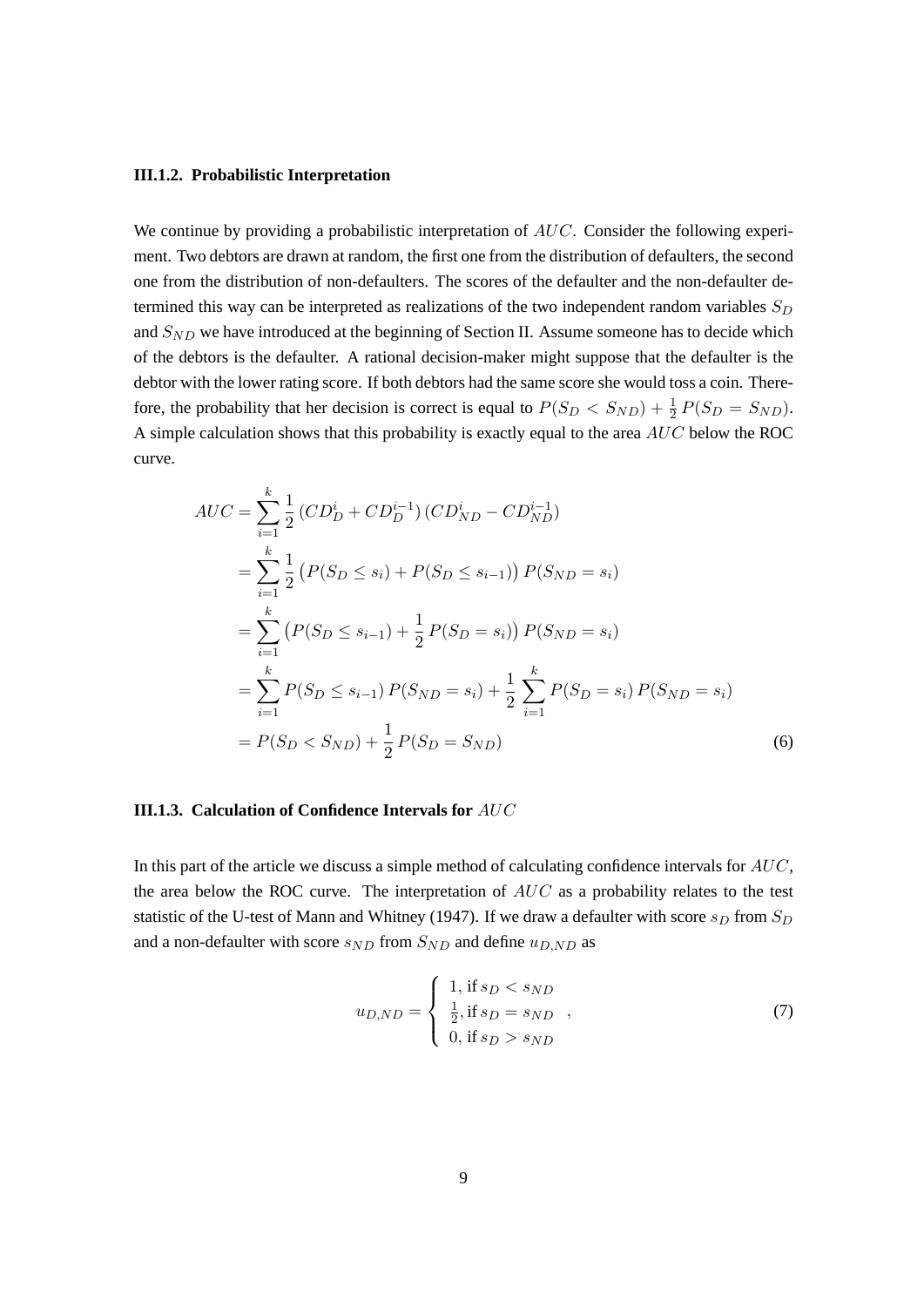#### <span id="page-14-0"></span>**III.1.2. Probabilistic Interpretation**

We continue by providing a probabilistic interpretation of AUC. Consider the following experiment. Two debtors are drawn at random, the first one from the distribution of defaulters, the second one from the distribution of non-defaulters. The scores of the defaulter and the non-defaulter determined this way can be interpreted as realizations of the two independent random variables  $S_D$ and  $S_{ND}$  we have introduced at the beginning of Section [II.](#page-8-0) Assume someone has to decide which of the debtors is the defaulter. A rational decision-maker might suppose that the defaulter is the debtor with the lower rating score. If both debtors had the same score she would toss a coin. Therefore, the probability that her decision is correct is equal to  $P(S_D < S_{ND}) + \frac{1}{2}P(S_D = S_{ND})$ . A simple calculation shows that this probability is exactly equal to the area AUC below the ROC curve.

$$
AUC = \sum_{i=1}^{k} \frac{1}{2} (CD_D^i + CD_D^{i-1}) (CD_{ND}^i - CD_{ND}^{i-1})
$$
  
\n
$$
= \sum_{i=1}^{k} \frac{1}{2} (P(S_D \le s_i) + P(S_D \le s_{i-1})) P(S_{ND} = s_i)
$$
  
\n
$$
= \sum_{i=1}^{k} (P(S_D \le s_{i-1}) + \frac{1}{2} P(S_D = s_i)) P(S_{ND} = s_i)
$$
  
\n
$$
= \sum_{i=1}^{k} P(S_D \le s_{i-1}) P(S_{ND} = s_i) + \frac{1}{2} \sum_{i=1}^{k} P(S_D = s_i) P(S_{ND} = s_i)
$$
  
\n
$$
= P(S_D < S_{ND}) + \frac{1}{2} P(S_D = S_{ND}) \tag{6}
$$

#### <span id="page-14-1"></span>**III.1.3. Calculation of Confidence Intervals for** AUC

In this part of the article we discuss a simple method of calculating confidence intervals for AUC, the area below the ROC curve. The interpretation of  $AUC$  as a probability relates to the test statistic of the U-test of [Mann and Whitney](#page-29-10) [\(1947\)](#page-29-10). If we draw a defaulter with score  $s_D$  from  $S_D$ and a non-defaulter with score  $s_{ND}$  from  $S_{ND}$  and define  $u_{D,ND}$  as

$$
u_{D,ND} = \begin{cases} 1, \text{ if } s_D < s_{ND} \\ \frac{1}{2}, \text{ if } s_D = s_{ND} \\ 0, \text{ if } s_D > s_{ND} \end{cases}
$$
 (7)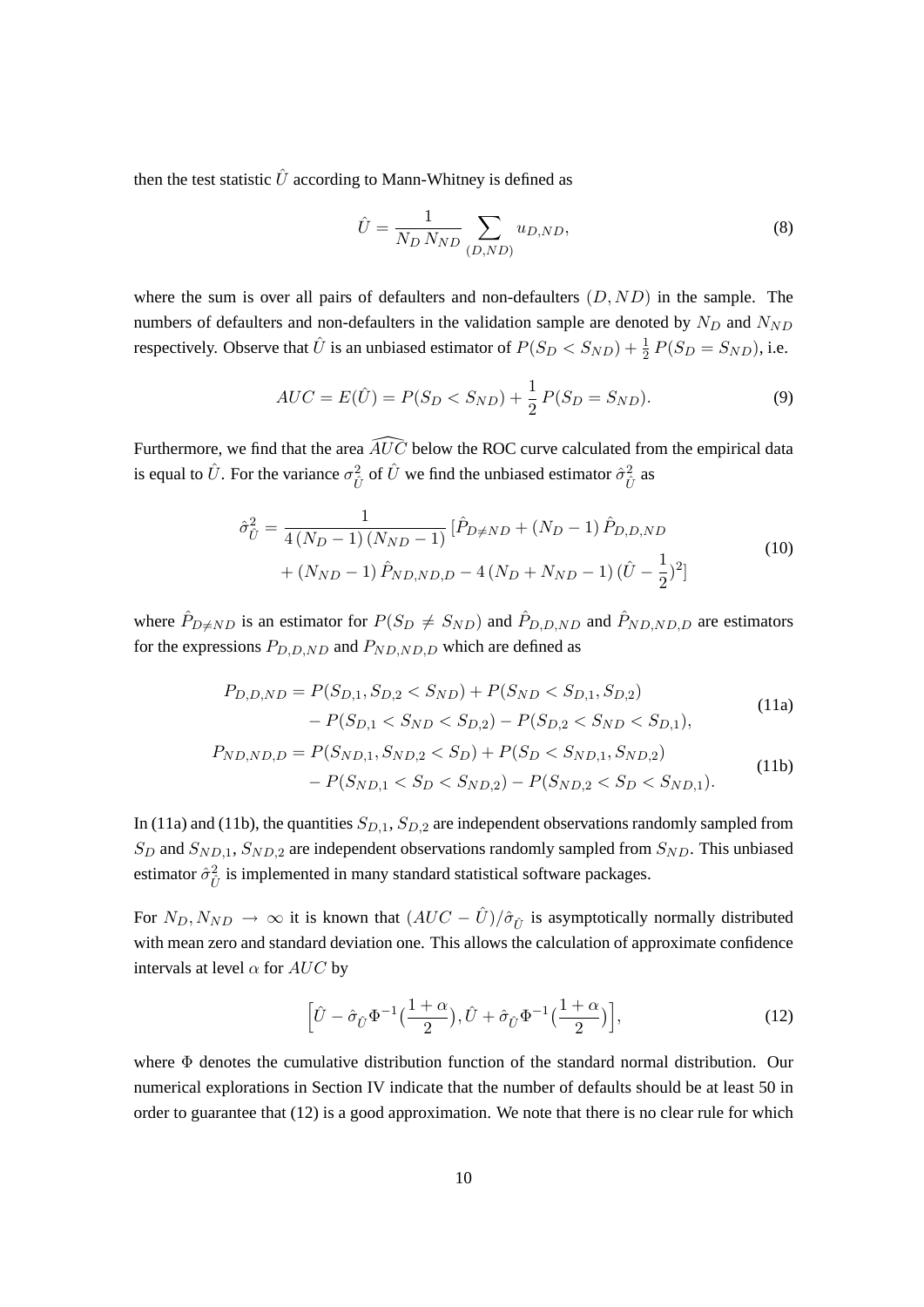then the test statistic  $\hat{U}$  according to Mann-Whitney is defined as

<span id="page-15-4"></span>
$$
\hat{U} = \frac{1}{N_D N_{ND}} \sum_{(D, ND)} u_{D, ND},
$$
\n(8)

where the sum is over all pairs of defaulters and non-defaulters  $(D, ND)$  in the sample. The numbers of defaulters and non-defaulters in the validation sample are denoted by  $N_D$  and  $N_{ND}$ respectively. Observe that  $\hat{U}$  is an unbiased estimator of  $P(S_D < S_{ND}) + \frac{1}{2}P(S_D = S_{ND})$ , i.e.

<span id="page-15-3"></span>
$$
AUC = E(\hat{U}) = P(S_D < S_{ND}) + \frac{1}{2}P(S_D = S_{ND}).\tag{9}
$$

Furthermore, we find that the area  $\widehat{AUC}$  below the ROC curve calculated from the empirical data is equal to  $\hat{U}$ . For the variance  $\sigma_{\hat{U}}^2$  of  $\hat{U}$  we find the unbiased estimator  $\hat{\sigma}_{\hat{U}}^2$  as

$$
\hat{\sigma}_{\hat{U}}^2 = \frac{1}{4(N_D - 1)(N_{ND} - 1)} \left[ \hat{P}_{D \neq ND} + (N_D - 1) \hat{P}_{D, D, ND} \right. \\
\left. + (N_{ND} - 1) \hat{P}_{ND, ND, D} - 4(N_D + N_{ND} - 1) (\hat{U} - \frac{1}{2})^2 \right]
$$
\n(10)

where  $\hat{P}_{D\neq ND}$  is an estimator for  $P(S_D \neq S_{ND})$  and  $\hat{P}_{D,D,ND}$  and  $\hat{P}_{ND,ND,D}$  are estimators for the expressions  $P_{D, D, ND}$  and  $P_{ND, ND, D}$  which are defined as

<span id="page-15-0"></span>
$$
P_{D,D,ND} = P(S_{D,1}, S_{D,2} < S_{ND}) + P(S_{ND} < S_{D,1}, S_{D,2})
$$
\n
$$
-P(S_{D,1} < S_{ND} < S_{D,2}) - P(S_{D,2} < S_{ND} < S_{D,1}),
$$
\n(11a)

$$
P_{ND, ND, D} = P(S_{ND,1}, S_{ND,2} < S_D) + P(S_D < S_{ND,1}, S_{ND,2})
$$
\n
$$
-P(S_{ND,1} < S_D < S_{ND,2}) - P(S_{ND,2} < S_D < S_{ND,1}).
$$
\n
$$
(11b)
$$

In [\(11a\)](#page-15-0) and [\(11b\)](#page-15-1), the quantities  $S_{D,1}$ ,  $S_{D,2}$  are independent observations randomly sampled from  $S_D$  and  $S_{ND,1}$ ,  $S_{ND,2}$  are independent observations randomly sampled from  $S_{ND}$ . This unbiased estimator  $\hat{\sigma}_{\hat{U}}^2$  is implemented in many standard statistical software packages.

For  $N_D, N_{ND} \rightarrow \infty$  it is known that  $(AUC - \hat{U})/\hat{\sigma}_{\hat{U}}$  is asymptotically normally distributed with mean zero and standard deviation one. This allows the calculation of approximate confidence intervals at level  $\alpha$  for  $AUC$  by

<span id="page-15-2"></span><span id="page-15-1"></span>
$$
\left[\hat{U} - \hat{\sigma}_{\hat{U}} \Phi^{-1}\left(\frac{1+\alpha}{2}\right), \hat{U} + \hat{\sigma}_{\hat{U}} \Phi^{-1}\left(\frac{1+\alpha}{2}\right)\right],\tag{12}
$$

where  $\Phi$  denotes the cumulative distribution function of the standard normal distribution. Our numerical explorations in Section [IV](#page-19-0) indicate that the number of defaults should be at least 50 in order to guarantee that [\(12\)](#page-15-2) is a good approximation. We note that there is no clear rule for which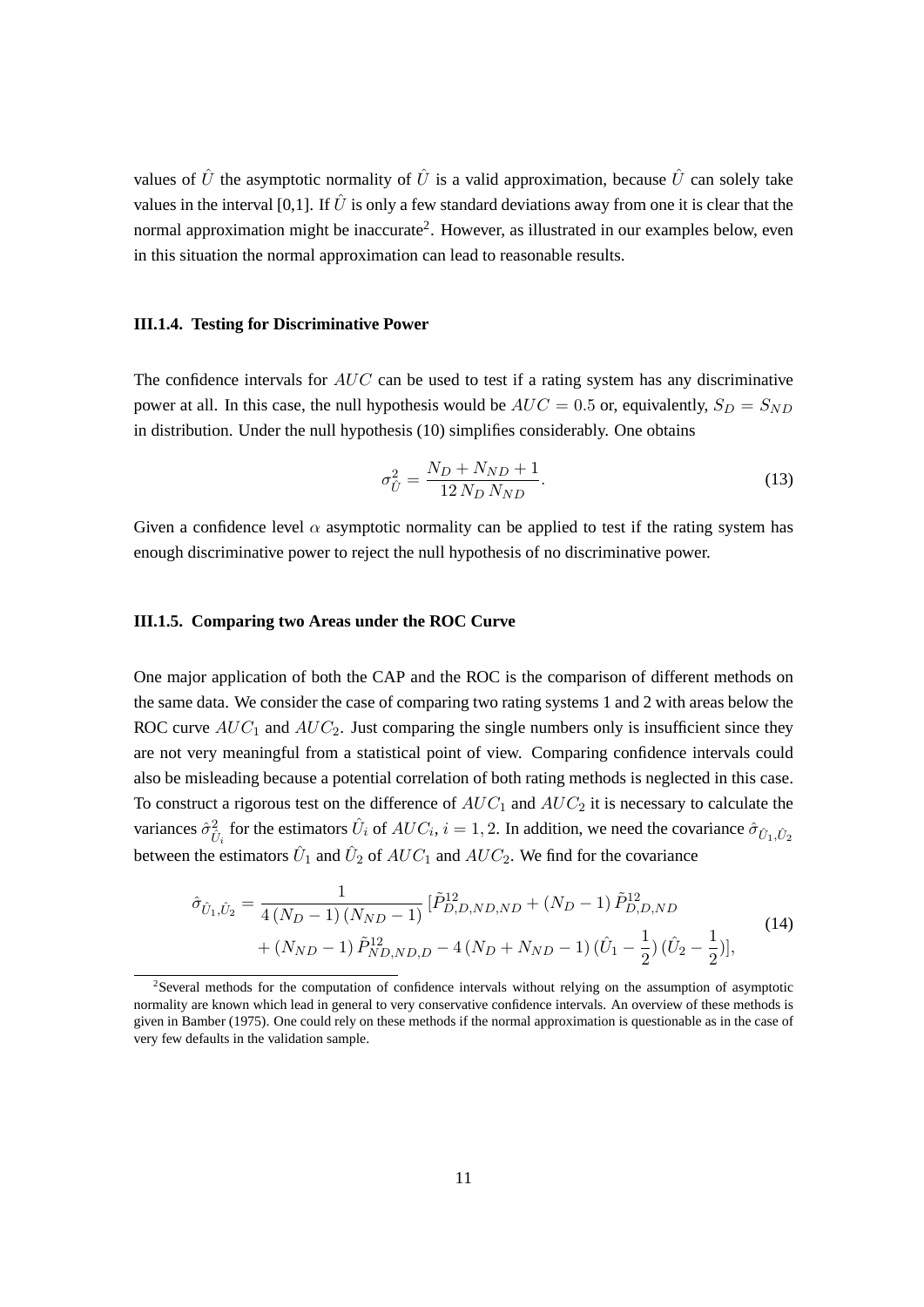values of  $\hat{U}$  the asymptotic normality of  $\hat{U}$  is a valid approximation, because  $\hat{U}$  can solely take values in the interval [0,1]. If  $\hat{U}$  is only a few standard deviations away from one it is clear that the normal approximation might be inaccurate<sup>[2](#page-16-2)</sup>. However, as illustrated in our examples below, even in this situation the normal approximation can lead to reasonable results.

#### <span id="page-16-0"></span>**III.1.4. Testing for Discriminative Power**

The confidence intervals for  $AUC$  can be used to test if a rating system has any discriminative power at all. In this case, the null hypothesis would be  $AUC = 0.5$  or, equivalently,  $S_D = S_{ND}$ in distribution. Under the null hypothesis [\(10\)](#page-15-3) simplifies considerably. One obtains

$$
\sigma_{\hat{U}}^2 = \frac{N_D + N_{ND} + 1}{12 N_D N_{ND}}.\tag{13}
$$

Given a confidence level  $\alpha$  asymptotic normality can be applied to test if the rating system has enough discriminative power to reject the null hypothesis of no discriminative power.

#### <span id="page-16-1"></span>**III.1.5. Comparing two Areas under the ROC Curve**

One major application of both the CAP and the ROC is the comparison of different methods on the same data. We consider the case of comparing two rating systems 1 and 2 with areas below the ROC curve  $AUC_1$  and  $AUC_2$ . Just comparing the single numbers only is insufficient since they are not very meaningful from a statistical point of view. Comparing confidence intervals could also be misleading because a potential correlation of both rating methods is neglected in this case. To construct a rigorous test on the difference of  $AUC_1$  and  $AUC_2$  it is necessary to calculate the variances  $\hat{\sigma}_{\hat{U}_i}^2$  for the estimators  $\hat{U}_i$  of  $AUC_i$ ,  $i = 1, 2$ . In addition, we need the covariance  $\hat{\sigma}_{\hat{U}_1,\hat{U}_2}$ between the estimators  $\hat{U}_1$  and  $\hat{U}_2$  of  $AUC_1$  and  $AUC_2$ . We find for the covariance

$$
\hat{\sigma}_{\hat{U}_1,\hat{U}_2} = \frac{1}{4(N_D-1)(N_{ND}-1)} \left[ \tilde{P}_{D,D,ND,ND}^{12} + (N_D-1) \tilde{P}_{D,D,ND}^{12} + (N_{ND}-1) \tilde{P}_{ND,ND,D}^{12} - 4(N_D + N_{ND} - 1) (\hat{U}_1 - \frac{1}{2}) (\hat{U}_2 - \frac{1}{2}) \right],
$$
\n(14)

<span id="page-16-2"></span><sup>2</sup> Several methods for the computation of confidence intervals without relying on the assumption of asymptotic normality are known which lead in general to very conservative confidence intervals. An overview of these methods is given in [Bamber](#page-29-6) [\(1975\)](#page-29-6). One could rely on these methods if the normal approximation is questionable as in the case of very few defaults in the validation sample.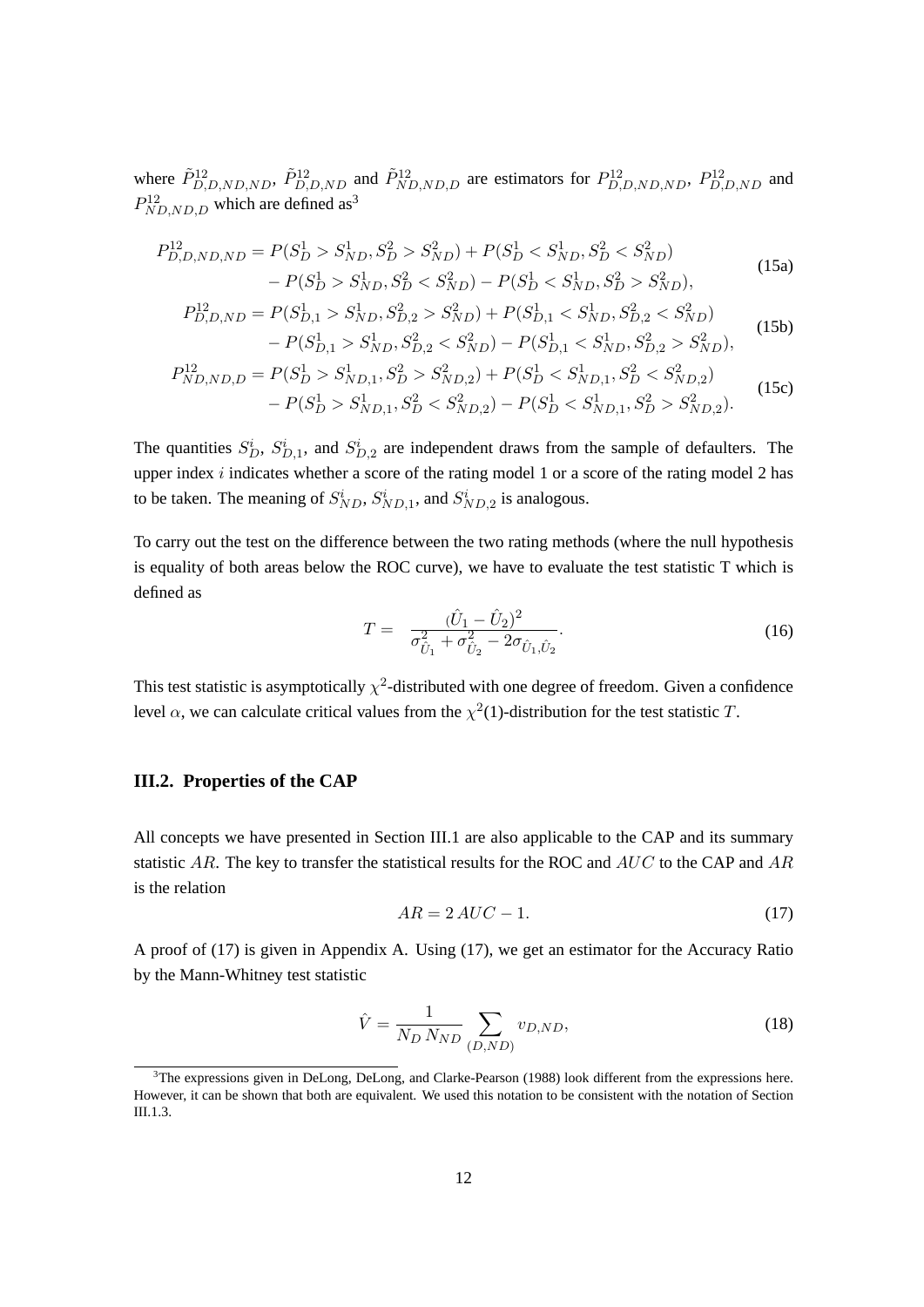where  $\tilde{P}_{D,D,ND,ND}^{12}$ ,  $\tilde{P}_{D,D,ND}^{12}$  and  $\tilde{P}_{ND,ND,D}^{12}$  are estimators for  $P_{D,D,ND,ND}^{12}$ ,  $P_{D,D,ND}^{12}$  and  $P_{ND,ND,D}^{12}$  which are defined as<sup>[3](#page-17-1)</sup>

$$
P_{D,D,ND,ND}^{12} = P(S_D^1 > S_{ND}^1, S_D^2 > S_{ND}^2) + P(S_D^1 < S_{ND}^1, S_D^2 < S_{ND}^2)
$$
  
-  $P(S_D^1 > S_{ND}^1, S_D^2 < S_{ND}^2) - P(S_D^1 < S_{ND}^1, S_D^2 > S_{ND}^2)$ , (15a)

$$
P_{D,D,ND}^{12} = P(S_{D,1}^1 > S_{ND}^1, S_{D,2}^2 > S_{ND}^2) + P(S_{D,1}^1 < S_{ND}^1, S_{D,2}^2 < S_{ND}^2) - P(S_{D,1}^1 > S_{ND}^1, S_{D,2}^2 < S_{ND}^2) - P(S_{D,1}^1 < S_{ND}^1, S_{D,2}^2 > S_{ND}^2),
$$
\n(15b)

$$
P_{ND,ND,D}^{12} = P(S_D^1 > S_{ND,1}^1, S_D^2 > S_{ND,2}^2) + P(S_D^1 < S_{ND,1}^1, S_D^2 < S_{ND,2}^2)
$$
  
- 
$$
P(S_D^1 > S_{ND,1}^1, S_D^2 < S_{ND,2}^2) - P(S_D^1 < S_{ND,1}^1, S_D^2 > S_{ND,2}^2).
$$
 (15c)

The quantities  $S_D^i$ ,  $S_{D,1}^i$ , and  $S_{D,2}^i$  are independent draws from the sample of defaulters. The upper index  $i$  indicates whether a score of the rating model 1 or a score of the rating model 2 has to be taken. The meaning of  $S_{ND}^i$ ,  $S_{ND,1}^i$ , and  $S_{ND,2}^i$  is analogous.

<span id="page-17-3"></span>To carry out the test on the difference between the two rating methods (where the null hypothesis is equality of both areas below the ROC curve), we have to evaluate the test statistic T which is defined as

$$
T = \frac{(\hat{U}_1 - \hat{U}_2)^2}{\sigma_{\hat{U}_1}^2 + \sigma_{\hat{U}_2}^2 - 2\sigma_{\hat{U}_1, \hat{U}_2}}.
$$
\n(16)

This test statistic is asymptotically  $\chi^2$ -distributed with one degree of freedom. Given a confidence level  $\alpha$ , we can calculate critical values from the  $\chi^2(1)$ -distribution for the test statistic T.

#### <span id="page-17-0"></span>**III.2. Properties of the CAP**

<span id="page-17-2"></span>All concepts we have presented in Section [III.1](#page-13-1) are also applicable to the CAP and its summary statistic  $AR$ . The key to transfer the statistical results for the ROC and  $AUC$  to the CAP and  $AR$ is the relation

$$
AR = 2\,AUC - 1.\tag{17}
$$

A proof of [\(17\)](#page-17-2) is given in Appendix [A.](#page-28-0) Using [\(17\)](#page-17-2), we get an estimator for the Accuracy Ratio by the Mann-Whitney test statistic

$$
\hat{V} = \frac{1}{N_D N_{ND}} \sum_{(D, ND)} v_{D, ND},
$$
\n(18)

<span id="page-17-1"></span><sup>&</sup>lt;sup>3</sup>The expressions given in [DeLong, DeLong, and Clarke-Pearson](#page-29-7) [\(1988\)](#page-29-7) look different from the expressions here. However, it can be shown that both are equivalent. We used this notation to be consistent with the notation of Section [III.1.3.](#page-14-1)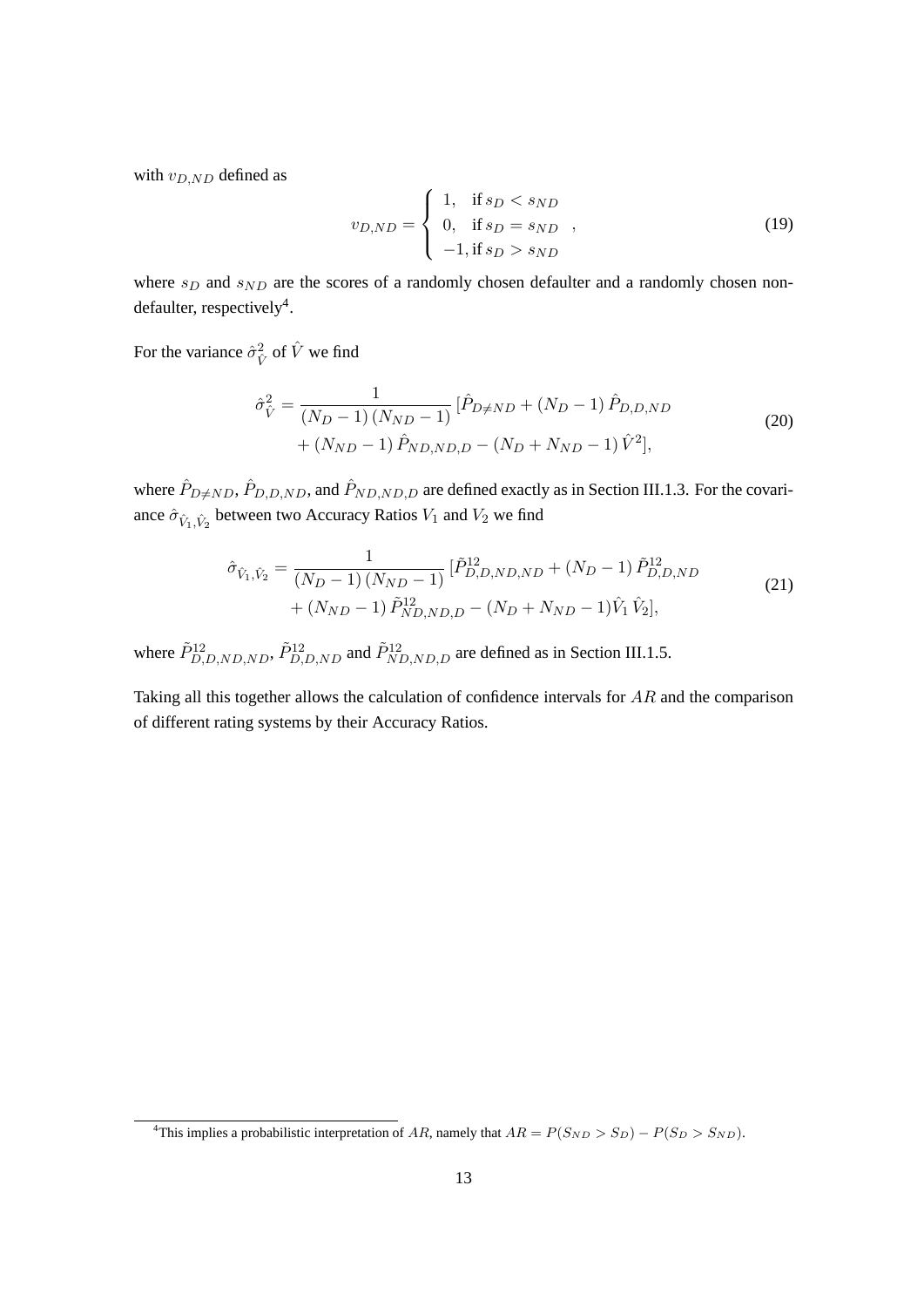with  $v_{D,ND}$  defined as

$$
v_{D,ND} = \begin{cases} 1, & \text{if } s_D < s_{ND} \\ 0, & \text{if } s_D = s_{ND} \\ -1, & \text{if } s_D > s_{ND} \end{cases}
$$
 (19)

where  $s_D$  and  $s_{ND}$  are the scores of a randomly chosen defaulter and a randomly chosen non-defaulter, respectively<sup>[4](#page-18-0)</sup>.

For the variance  $\hat{\sigma}_{\hat{V}}^2$  of  $\hat{V}$  we find

$$
\hat{\sigma}_{\hat{V}}^2 = \frac{1}{(N_D - 1)(N_{ND} - 1)} [\hat{P}_{D \neq ND} + (N_D - 1) \hat{P}_{D, D, ND} + (N_{ND} - 1) \hat{P}_{ND, ND, D} - (N_D + N_{ND} - 1) \hat{V}^2],
$$
\n(20)

where  $\hat{P}_{D\neq ND}$ ,  $\hat{P}_{D,D,ND}$ , and  $\hat{P}_{ND,ND,D}$  are defined exactly as in Section [III.1.3.](#page-14-1) For the covariance  $\hat{\sigma}_{\hat{V}_1,\hat{V}_2}$  between two Accuracy Ratios  $V_1$  and  $V_2$  we find

$$
\hat{\sigma}_{\hat{V}_1, \hat{V}_2} = \frac{1}{(N_D - 1)(N_{ND} - 1)} \left[ \tilde{P}_{D, D, ND, ND}^{12} + (N_D - 1) \tilde{P}_{D, D, ND}^{12} + (N_{ND} - 1) \tilde{P}_{ND, ND, D}^{12} - (N_D + N_{ND} - 1) \hat{V}_1 \hat{V}_2 \right],
$$
\n(21)

where  $\tilde{P}_{D,D,ND,ND}^{12}$ ,  $\tilde{P}_{D,D,ND}^{12}$  and  $\tilde{P}_{ND,ND,D}^{12}$  are defined as in Section [III.1.5.](#page-16-1)

Taking all this together allows the calculation of confidence intervals for AR and the comparison of different rating systems by their Accuracy Ratios.

<span id="page-18-0"></span><sup>&</sup>lt;sup>4</sup>This implies a probabilistic interpretation of AR, namely that  $AR = P(S_{ND} > S_D) - P(S_D > S_{ND})$ .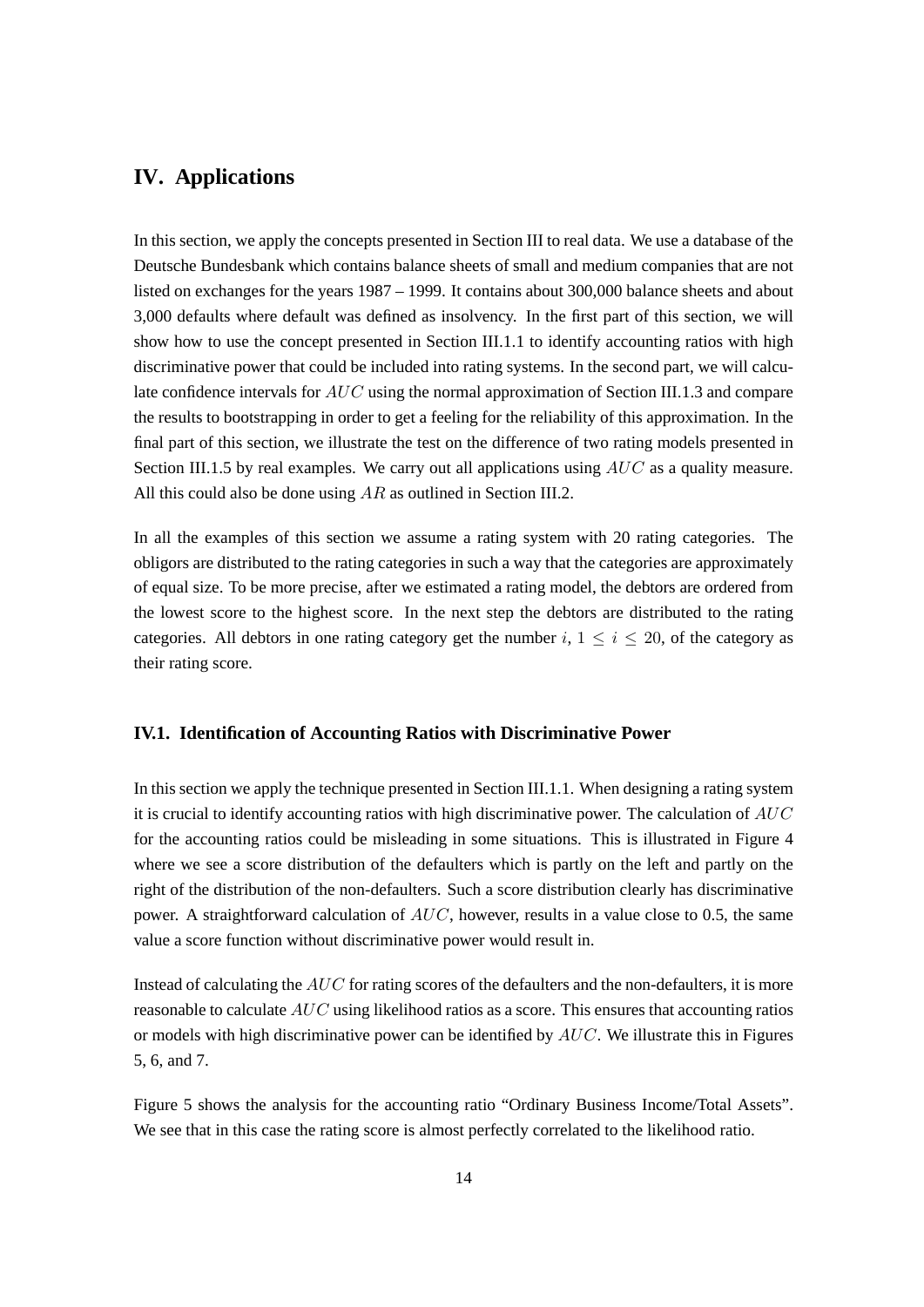## <span id="page-19-0"></span>**IV. Applications**

In this section, we apply the concepts presented in Section [III](#page-13-0) to real data. We use a database of the Deutsche Bundesbank which contains balance sheets of small and medium companies that are not listed on exchanges for the years 1987 – 1999. It contains about 300,000 balance sheets and about 3,000 defaults where default was defined as insolvency. In the first part of this section, we will show how to use the concept presented in Section [III.1.1](#page-13-2) to identify accounting ratios with high discriminative power that could be included into rating systems. In the second part, we will calculate confidence intervals for AUC using the normal approximation of Section [III.1.3](#page-14-1) and compare the results to bootstrapping in order to get a feeling for the reliability of this approximation. In the final part of this section, we illustrate the test on the difference of two rating models presented in Section [III.1.5](#page-16-1) by real examples. We carry out all applications using  $AUC$  as a quality measure. All this could also be done using AR as outlined in Section [III.2.](#page-17-0)

In all the examples of this section we assume a rating system with 20 rating categories. The obligors are distributed to the rating categories in such a way that the categories are approximately of equal size. To be more precise, after we estimated a rating model, the debtors are ordered from the lowest score to the highest score. In the next step the debtors are distributed to the rating categories. All debtors in one rating category get the number  $i, 1 \le i \le 20$ , of the category as their rating score.

#### <span id="page-19-1"></span>**IV.1. Identification of Accounting Ratios with Discriminative Power**

In this section we apply the technique presented in Section [III.1.1.](#page-13-2) When designing a rating system it is crucial to identify accounting ratios with high discriminative power. The calculation of  $AUC$ for the accounting ratios could be misleading in some situations. This is illustrated in Figure [4](#page-20-0) where we see a score distribution of the defaulters which is partly on the left and partly on the right of the distribution of the non-defaulters. Such a score distribution clearly has discriminative power. A straightforward calculation of  $AUC$ , however, results in a value close to 0.5, the same value a score function without discriminative power would result in.

Instead of calculating the AUC for rating scores of the defaulters and the non-defaulters, it is more reasonable to calculate AUC using likelihood ratios as a score. This ensures that accounting ratios or models with high discriminative power can be identified by  $AUC$ . We illustrate this in Figures [5,](#page-20-1) [6,](#page-21-0) and [7.](#page-21-1)

Figure [5](#page-20-1) shows the analysis for the accounting ratio "Ordinary Business Income/Total Assets". We see that in this case the rating score is almost perfectly correlated to the likelihood ratio.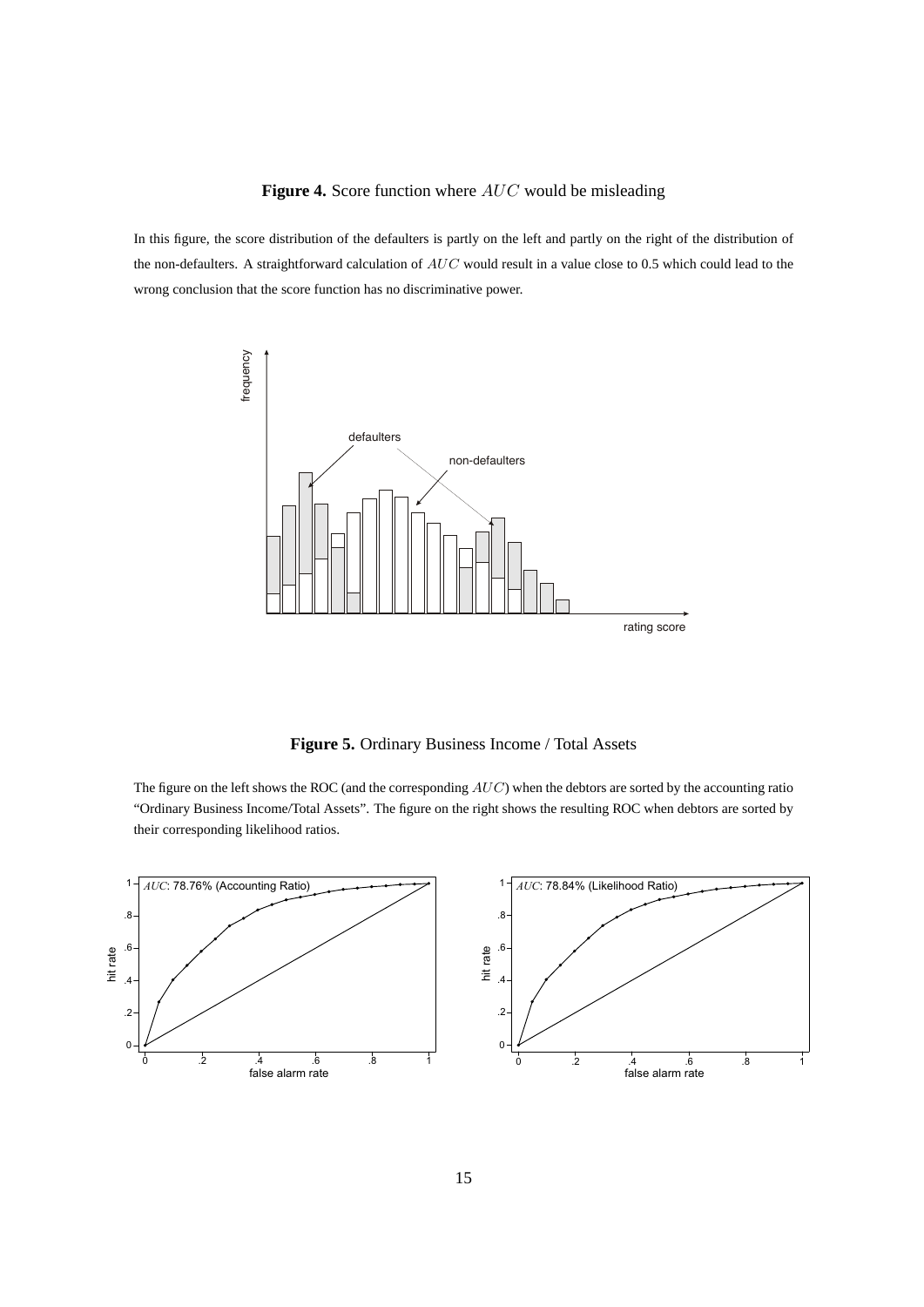#### <span id="page-20-0"></span>Figure 4. Score function where AUC would be misleading

In this figure, the score distribution of the defaulters is partly on the left and partly on the right of the distribution of the non-defaulters. A straightforward calculation of  $AUC$  would result in a value close to 0.5 which could lead to the wrong conclusion that the score function has no discriminative power.



<span id="page-20-1"></span>**Figure 5.** Ordinary Business Income / Total Assets

The figure on the left shows the ROC (and the corresponding  $AUC$ ) when the debtors are sorted by the accounting ratio "Ordinary Business Income/Total Assets". The figure on the right shows the resulting ROC when debtors are sorted by their corresponding likelihood ratios.

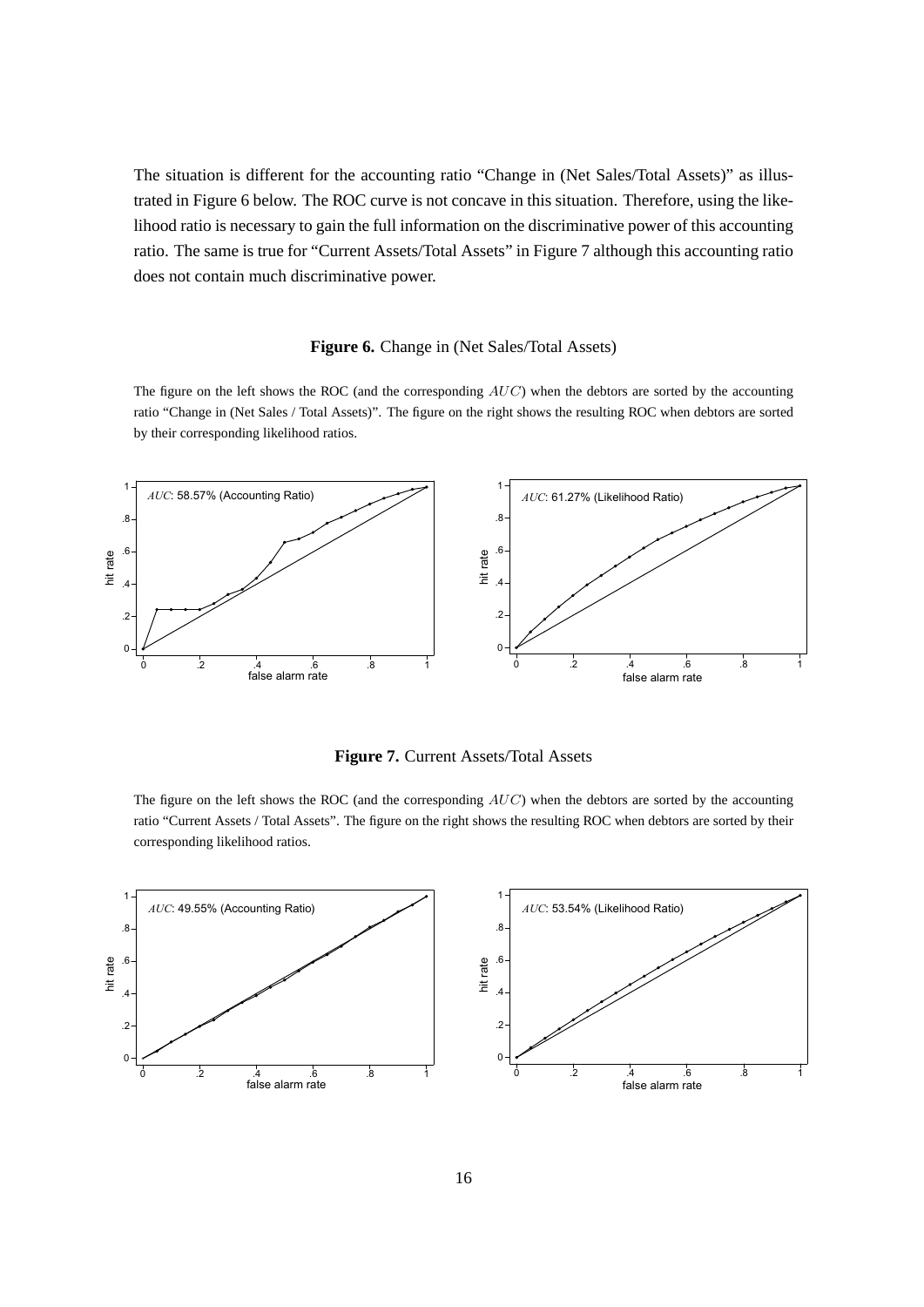The situation is different for the accounting ratio "Change in (Net Sales/Total Assets)" as illustrated in Figure [6](#page-21-0) below. The ROC curve is not concave in this situation. Therefore, using the likelihood ratio is necessary to gain the full information on the discriminative power of this accounting ratio. The same is true for "Current Assets/Total Assets" in Figure [7](#page-21-1) although this accounting ratio does not contain much discriminative power.

#### <span id="page-21-0"></span>**Figure 6.** Change in (Net Sales/Total Assets)

The figure on the left shows the ROC (and the corresponding  $AUC$ ) when the debtors are sorted by the accounting ratio "Change in (Net Sales / Total Assets)". The figure on the right shows the resulting ROC when debtors are sorted by their corresponding likelihood ratios.



<span id="page-21-1"></span>**Figure 7.** Current Assets/Total Assets

The figure on the left shows the ROC (and the corresponding  $AUC$ ) when the debtors are sorted by the accounting ratio "Current Assets / Total Assets". The figure on the right shows the resulting ROC when debtors are sorted by their corresponding likelihood ratios.

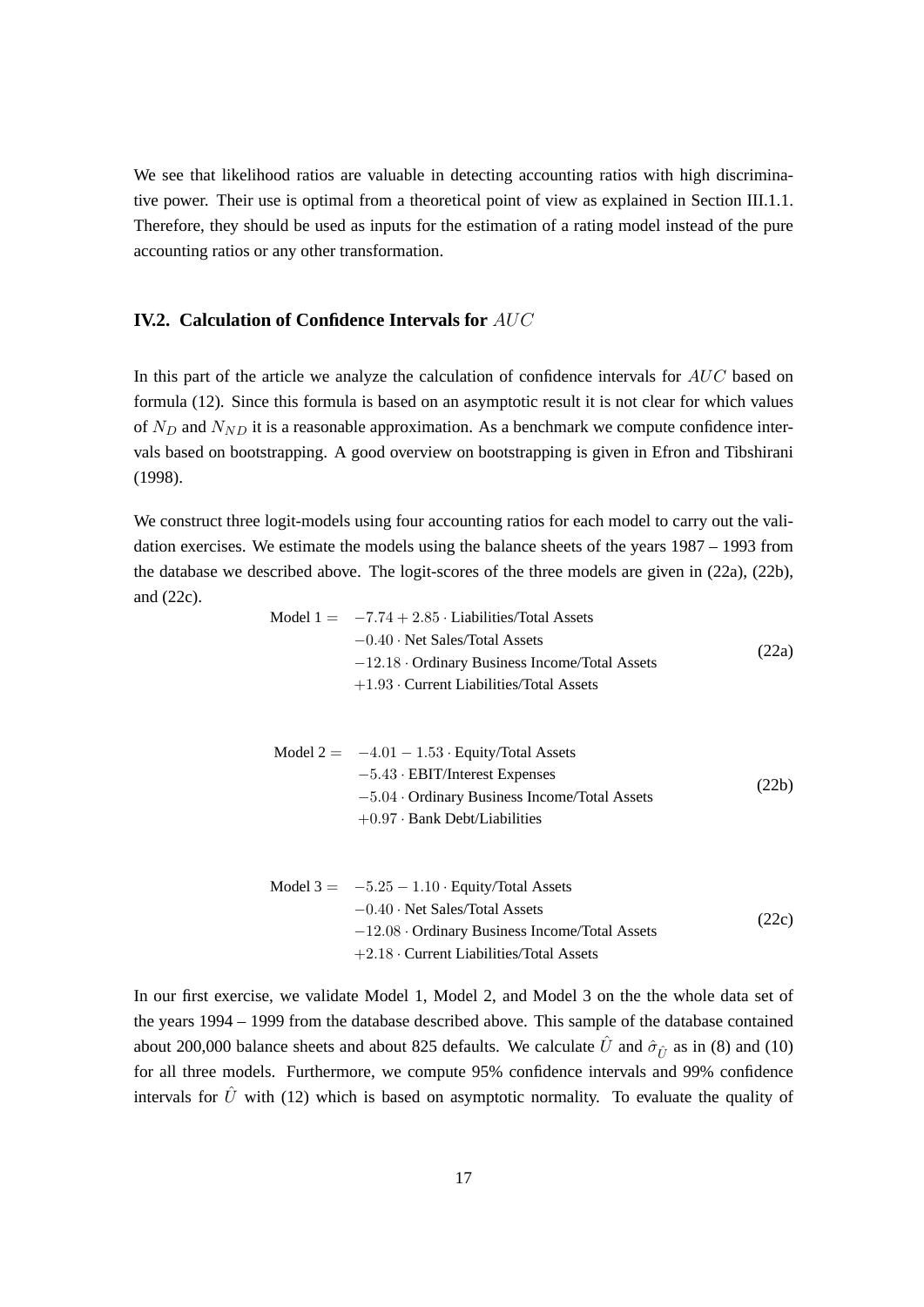We see that likelihood ratios are valuable in detecting accounting ratios with high discriminative power. Their use is optimal from a theoretical point of view as explained in Section [III.1.1.](#page-13-2) Therefore, they should be used as inputs for the estimation of a rating model instead of the pure accounting ratios or any other transformation.

## <span id="page-22-0"></span>**IV.2. Calculation of Confidence Intervals for** AUC

In this part of the article we analyze the calculation of confidence intervals for AUC based on formula [\(12\)](#page-15-2). Since this formula is based on an asymptotic result it is not clear for which values of  $N_D$  and  $N_{ND}$  it is a reasonable approximation. As a benchmark we compute confidence intervals based on bootstrapping. A good overview on bootstrapping is given in [Efron and Tibshirani](#page-29-11) [\(1998\)](#page-29-11).

We construct three logit-models using four accounting ratios for each model to carry out the validation exercises. We estimate the models using the balance sheets of the years 1987 – 1993 from the database we described above. The logit-scores of the three models are given in [\(22a\)](#page-22-1), [\(22b\)](#page-22-2), and [\(22c\)](#page-22-3).

<span id="page-22-2"></span><span id="page-22-1"></span>

| Model $1 = -7.74 + 2.85$ Liabilities/Total Assets    |       |
|------------------------------------------------------|-------|
| $-0.40 \cdot$ Net Sales/Total Assets                 |       |
| $-12.18 \cdot$ Ordinary Business Income/Total Assets | (22a) |
| $+1.93$ Current Liabilities/Total Assets             |       |
|                                                      |       |
|                                                      |       |
| Model $2 = -4.01 - 1.53$ · Equity/Total Assets       |       |
| $-5.43 \cdot \text{EBIT/Interest Express}$           |       |
| $-5.04$ Ordinary Business Income/Total Assets        | (22b) |
| $+0.97 \cdot$ Bank Debt/Liabilities                  |       |
|                                                      |       |
|                                                      |       |
| Model $3 = -5.25 - 1.10$ · Equity/Total Assets       |       |
| $-0.40 \cdot$ Net Sales/Total Assets                 | 22c)  |
| $-12.08 \cdot$ Ordinary Business Income/Total Assets |       |

<span id="page-22-3"></span>In our first exercise, we validate Model 1, Model 2, and Model 3 on the the whole data set of the years 1994 – 1999 from the database described above. This sample of the database contained about 200,000 balance sheets and about 825 defaults. We calculate  $\hat{U}$  and  $\hat{\sigma}_{\hat{\tau}}$  as in [\(8\)](#page-15-4) and [\(10\)](#page-15-3) for all three models. Furthermore, we compute 95% confidence intervals and 99% confidence intervals for  $\hat{U}$  with [\(12\)](#page-15-2) which is based on asymptotic normality. To evaluate the quality of

+2.18 · Current Liabilities/Total Assets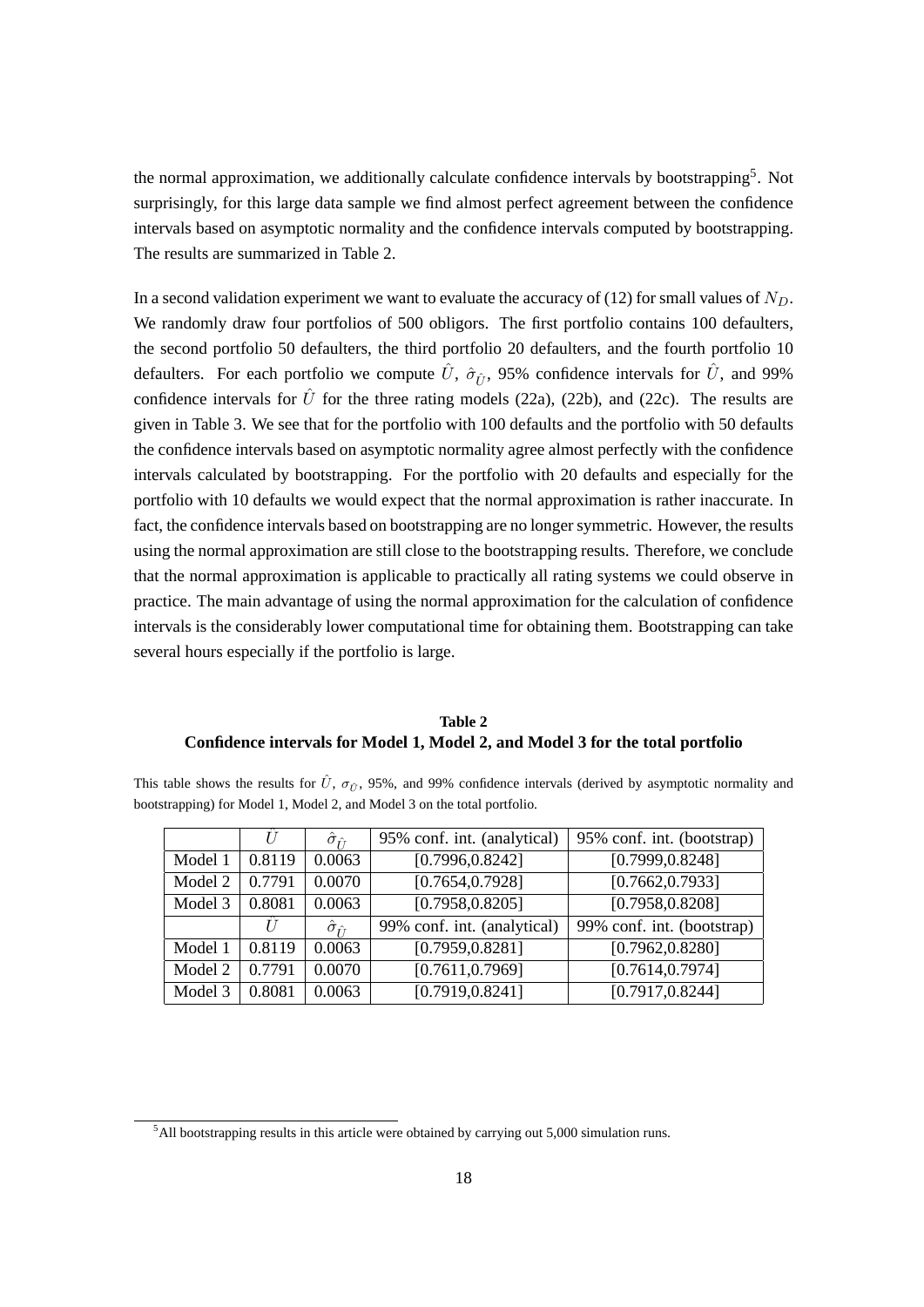the normal approximation, we additionally calculate confidence intervals by bootstrapping<sup>[5](#page-23-0)</sup>. Not surprisingly, for this large data sample we find almost perfect agreement between the confidence intervals based on asymptotic normality and the confidence intervals computed by bootstrapping. The results are summarized in Table [2.](#page-23-1)

In a second validation experiment we want to evaluate the accuracy of [\(12\)](#page-15-2) for small values of  $N_D$ . We randomly draw four portfolios of 500 obligors. The first portfolio contains 100 defaulters, the second portfolio 50 defaulters, the third portfolio 20 defaulters, and the fourth portfolio 10 defaulters. For each portfolio we compute  $\hat{U}$ ,  $\hat{\sigma}_{\hat{\mu}}$ , 95% confidence intervals for  $\hat{U}$ , and 99% confidence intervals for  $\hat{U}$  for the three rating models [\(22a\)](#page-22-1), [\(22b\)](#page-22-2), and [\(22c\)](#page-22-3). The results are given in Table [3.](#page-24-0) We see that for the portfolio with 100 defaults and the portfolio with 50 defaults the confidence intervals based on asymptotic normality agree almost perfectly with the confidence intervals calculated by bootstrapping. For the portfolio with 20 defaults and especially for the portfolio with 10 defaults we would expect that the normal approximation is rather inaccurate. In fact, the confidence intervals based on bootstrapping are no longer symmetric. However, the results using the normal approximation are still close to the bootstrapping results. Therefore, we conclude that the normal approximation is applicable to practically all rating systems we could observe in practice. The main advantage of using the normal approximation for the calculation of confidence intervals is the considerably lower computational time for obtaining them. Bootstrapping can take several hours especially if the portfolio is large.

### **Table 2 Confidence intervals for Model 1, Model 2, and Model 3 for the total portfolio**

<span id="page-23-1"></span>This table shows the results for  $\hat{U}$ ,  $\sigma_{\hat{U}}$ , 95%, and 99% confidence intervals (derived by asymptotic normality and bootstrapping) for Model 1, Model 2, and Model 3 on the total portfolio.

|         | U      | $\hat{\sigma}_{\hat{r}}$ | 95% conf. int. (analytical) | 95% conf. int. (bootstrap) |
|---------|--------|--------------------------|-----------------------------|----------------------------|
| Model 1 | 0.8119 | 0.0063                   | [0.7996, 0.8242]            | [0.7999, 0.8248]           |
| Model 2 | 0.7791 | 0.0070                   | [0.7654, 0.7928]            | [0.7662, 0.7933]           |
| Model 3 | 0.8081 | 0.0063                   | [0.7958, 0.8205]            | [0.7958, 0.8208]           |
|         |        | $\hat{\sigma}_{\hat{U}}$ | 99% conf. int. (analytical) | 99% conf. int. (bootstrap) |
| Model 1 | 0.8119 | 0.0063                   | [0.7959, 0.8281]            | [0.7962, 0.8280]           |
| Model 2 | 0.7791 | 0.0070                   | [0.7611, 0.7969]            | [0.7614, 0.7974]           |
| Model 3 | 0.8081 | 0.0063                   | [0.7919, 0.8241]            | [0.7917, 0.8244]           |

<span id="page-23-0"></span> $5$ All bootstrapping results in this article were obtained by carrying out 5,000 simulation runs.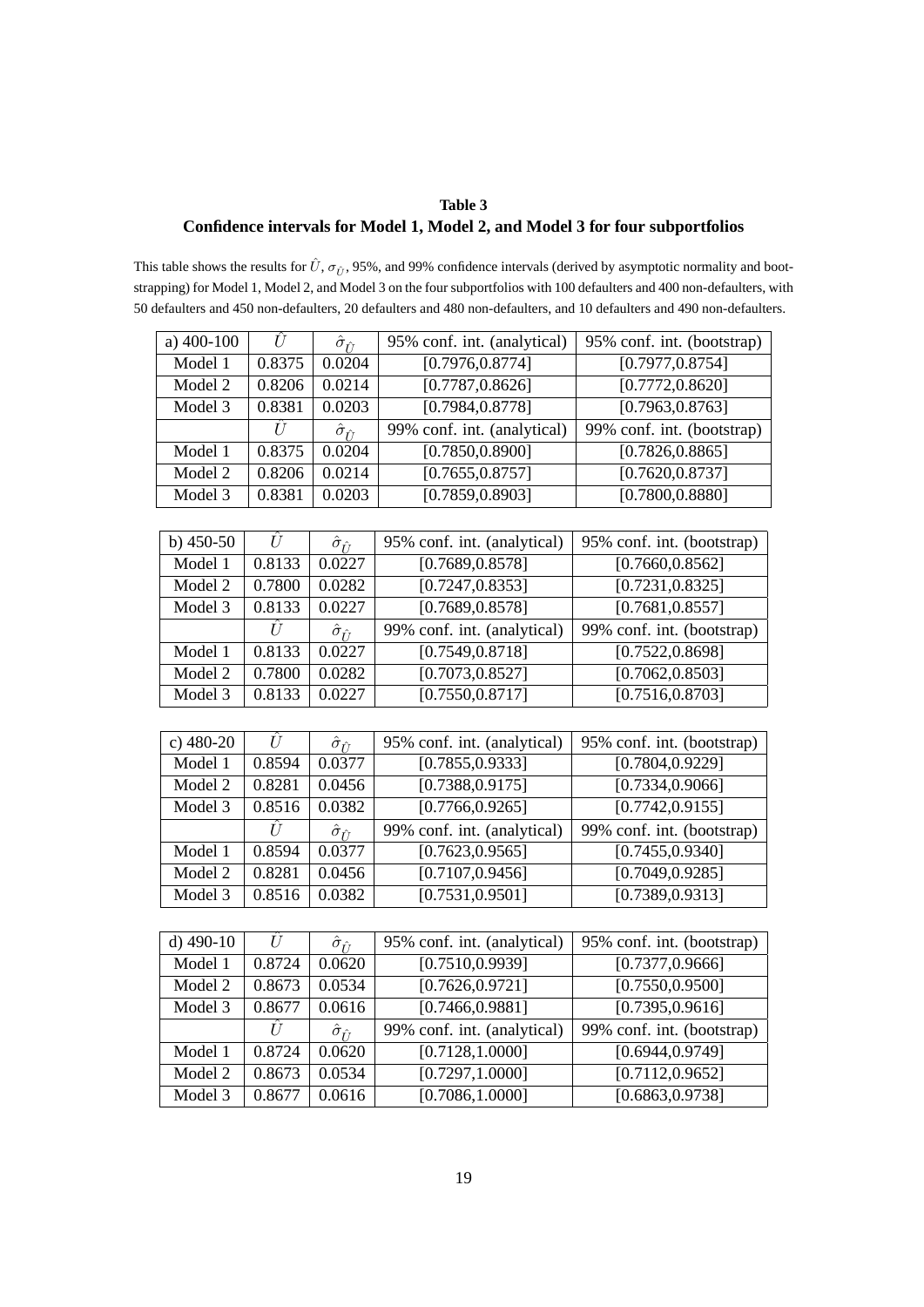## **Table 3 Confidence intervals for Model 1, Model 2, and Model 3 for four subportfolios**

<span id="page-24-0"></span>This table shows the results for  $\hat{U}$ ,  $\sigma_{\hat{U}}$ , 95%, and 99% confidence intervals (derived by asymptotic normality and bootstrapping) for Model 1, Model 2, and Model 3 on the four subportfolios with 100 defaulters and 400 non-defaulters, with 50 defaulters and 450 non-defaulters, 20 defaulters and 480 non-defaulters, and 10 defaulters and 490 non-defaulters.

| a) 400-100  | $\hat{U}$ | $\hat{\sigma}_{\hat{U}_{\! \perp}}$                         | 95% conf. int. (analytical)   | 95% conf. int. (bootstrap)    |  |
|-------------|-----------|-------------------------------------------------------------|-------------------------------|-------------------------------|--|
| Model 1     | 0.8375    | 0.0204                                                      | [0.7976, 0.8774]              | [0.7977, 0.8754]              |  |
| Model 2     | 0.8206    | 0.0214                                                      | [0.7787, 0.8626]              | [0.7772, 0.8620]              |  |
| Model 3     | 0.8381    | 0.0203                                                      | [0.7984, 0.8778]              | [0.7963, 0.8763]              |  |
|             | Û         | $\hat{\sigma}_{\hat{H}}$                                    | 99% conf. int. (analytical)   | 99% conf. int. (bootstrap)    |  |
| Model 1     | 0.8375    | 0.0204                                                      | [0.7850, 0.8900]              | [0.7826, 0.8865]              |  |
| Model 2     | 0.8206    | 0.0214                                                      | [0.7655, 0.8757]              | [0.7620, 0.8737]              |  |
| Model 3     | 0.8381    | 0.0203                                                      | [0.7859, 0.8903]              | [0.7800, 0.8880]              |  |
|             |           |                                                             |                               |                               |  |
| b) $450-50$ | Û         | $\hat{\sigma}_{\hat{U}}$                                    | 95% conf. int. (analytical)   | 95% conf. int. (bootstrap)    |  |
| Model 1     | 0.8133    | 0.0227                                                      | [0.7689, 0.8578]              | [0.7660, 0.8562]              |  |
| Model 2     | 0.7800    | 0.0282                                                      | [0.7247, 0.8353]              | [0.7231, 0.8325]              |  |
| Model 3     | 0.8133    | 0.0227                                                      | [0.7689, 0.8578]              | [0.7681, 0.8557]              |  |
|             | Û         | $\hat{\sigma}_{\hat{\mathit{\Gamma}}\hat{\mathit{\Gamma}}}$ | 99% conf. int. (analytical)   | 99% conf. int. (bootstrap)    |  |
| Model 1     | 0.8133    | 0.0227                                                      | [0.7549, 0.8718]              | [0.7522, 0.8698]              |  |
| Model 2     | 0.7800    | 0.0282                                                      | [0.7073, 0.8527]              | [0.7062, 0.8503]              |  |
| Model 3     | 0.8133    | 0.0227                                                      | $\overline{[0.7550, 0.8717]}$ | [0.7516, 0.8703]              |  |
|             |           |                                                             |                               |                               |  |
| c) $480-20$ | Û         | $\hat{\sigma}_{\hat{U}}$                                    | 95% conf. int. (analytical)   | 95% conf. int. (bootstrap)    |  |
| Model 1     | 0.8594    | 0.0377                                                      | [0.7855, 0.9333]              | [0.7804, 0.9229]              |  |
| Model 2     | 0.8281    | 0.0456                                                      | [0.7388, 0.9175]              | [0.7334, 0.9066]              |  |
| Model 3     | 0.8516    | 0.0382                                                      | [0.7766, 0.9265]              | [0.7742, 0.9155]              |  |
|             | Û         | $\hat{\sigma}_{\hat{U}_-}$                                  | 99% conf. int. (analytical)   | 99% conf. int. (bootstrap)    |  |
| Model 1     | 0.8594    | 0.0377                                                      | [0.7623, 0.9565]              | [0.7455, 0.9340]              |  |
| Model 2     | 0.8281    | 0.0456                                                      | [0.7107, 0.9456]              | [0.7049, 0.9285]              |  |
| Model 3     | 0.8516    | 0.0382                                                      | [0.7531, 0.9501]              | [0.7389, 0.9313]              |  |
|             |           |                                                             |                               |                               |  |
| d) $490-10$ | Û         | $\hat{\sigma}_{\hat{U}_{\! \perp}}$                         | 95% conf. int. (analytical)   | 95% conf. int. (bootstrap)    |  |
| Model 1     | 0.8724    | 0.0620                                                      | [0.7510, 0.9939]              | [0.7377, 0.9666]              |  |
| Model 2     | 0.8673    | 0.0534                                                      | [0.7626, 0.9721]              | $\overline{[0.7550, 0.9500]}$ |  |

| Model 2 | 0.86/3         | 0.0534                    | [0.7626, 0.9721]            | [0.7550, 0.9500]           |
|---------|----------------|---------------------------|-----------------------------|----------------------------|
| Model 3 | 0.8677         | 0.0616                    | [0.7466, 0.9881]            | [0.7395, 0.9616]           |
|         | $\overline{I}$ | $\ddot{\sigma}_{\hat{r}}$ | 99% conf. int. (analytical) | 99% conf. int. (bootstrap) |
| Model 1 | 0.8724         | 0.0620                    | [0.7128, 1.0000]            | [0.6944, 0.9749]           |
| Model 2 | 0.8673         | 0.0534                    | [0.7297, 1.0000]            | [0.7112, 0.9652]           |
| Model 3 | 0.8677         | 0.0616                    | [0.7086, 1.0000]            | [0.6863, 0.9738]           |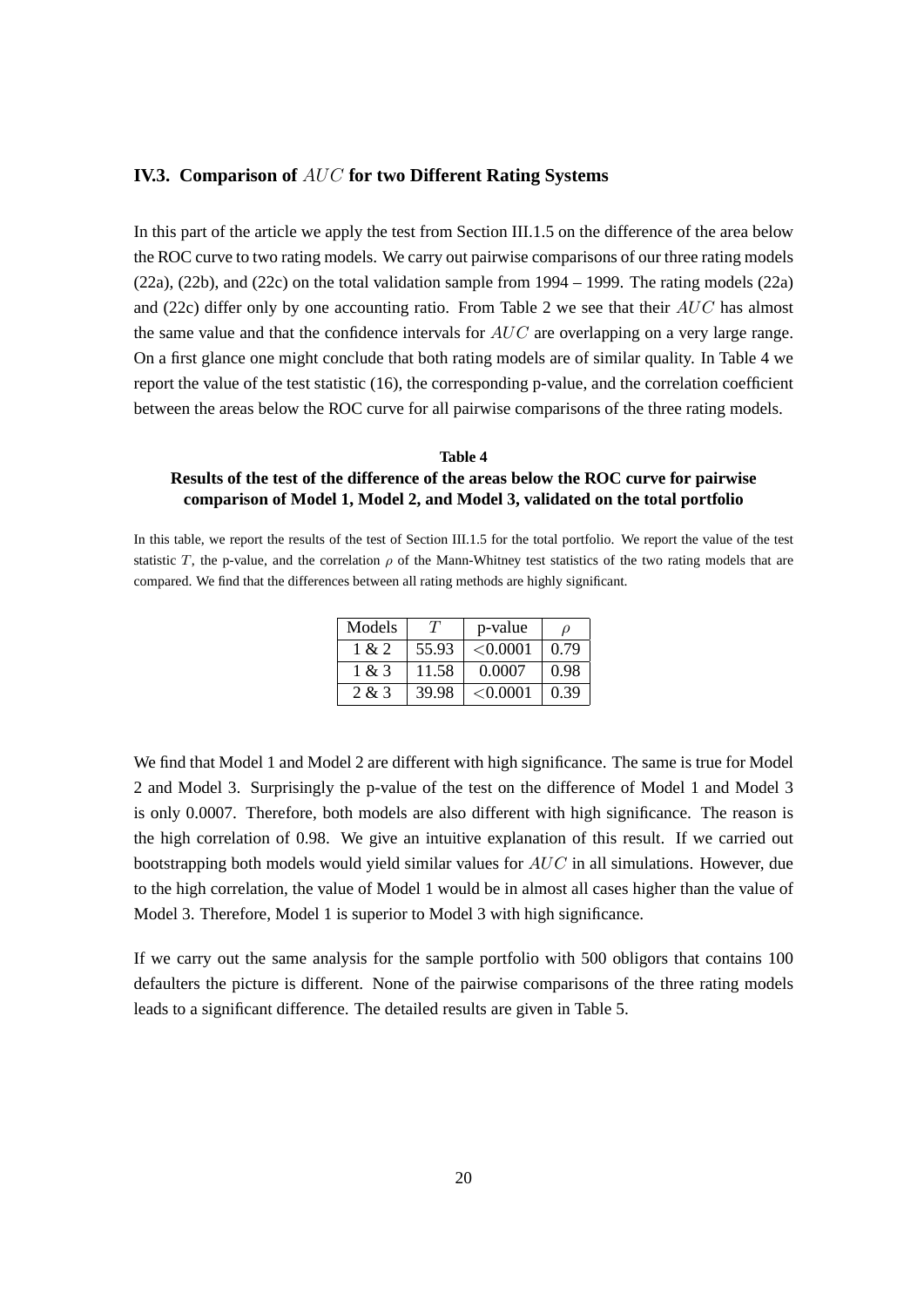#### <span id="page-25-0"></span>**IV.3. Comparison of** AUC **for two Different Rating Systems**

In this part of the article we apply the test from Section [III.1.5](#page-16-1) on the difference of the area below the ROC curve to two rating models. We carry out pairwise comparisons of our three rating models [\(22a\)](#page-22-1), [\(22b\)](#page-22-2), and [\(22c\)](#page-22-3) on the total validation sample from 1994 – 1999. The rating models [\(22a\)](#page-22-1) and [\(22c\)](#page-22-3) differ only by one accounting ratio. From Table [2](#page-23-1) we see that their  $AUC$  has almost the same value and that the confidence intervals for  $AUC$  are overlapping on a very large range. On a first glance one might conclude that both rating models are of similar quality. In Table [4](#page-25-1) we report the value of the test statistic [\(16\)](#page-17-3), the corresponding p-value, and the correlation coefficient between the areas below the ROC curve for all pairwise comparisons of the three rating models.

### <span id="page-25-1"></span>**Table 4 Results of the test of the difference of the areas below the ROC curve for pairwise comparison of Model 1, Model 2, and Model 3, validated on the total portfolio**

In this table, we report the results of the test of Section [III.1.5](#page-16-1) for the total portfolio. We report the value of the test statistic T, the p-value, and the correlation  $\rho$  of the Mann-Whitney test statistics of the two rating models that are compared. We find that the differences between all rating methods are highly significant.

| Models | $^{\prime}I^{\prime}$ | p-value  | Ω    |
|--------|-----------------------|----------|------|
| 1 & 2  | 55.93                 | < 0.0001 | 0.79 |
| 1 & 3  | 11.58                 | 0.0007   | 0.98 |
| 2 & 3  | 39.98                 | < 0.0001 | 0.39 |

We find that Model 1 and Model 2 are different with high significance. The same is true for Model 2 and Model 3. Surprisingly the p-value of the test on the difference of Model 1 and Model 3 is only 0.0007. Therefore, both models are also different with high significance. The reason is the high correlation of 0.98. We give an intuitive explanation of this result. If we carried out bootstrapping both models would yield similar values for  $AUC$  in all simulations. However, due to the high correlation, the value of Model 1 would be in almost all cases higher than the value of Model 3. Therefore, Model 1 is superior to Model 3 with high significance.

If we carry out the same analysis for the sample portfolio with 500 obligors that contains 100 defaulters the picture is different. None of the pairwise comparisons of the three rating models leads to a significant difference. The detailed results are given in Table [5.](#page-26-0)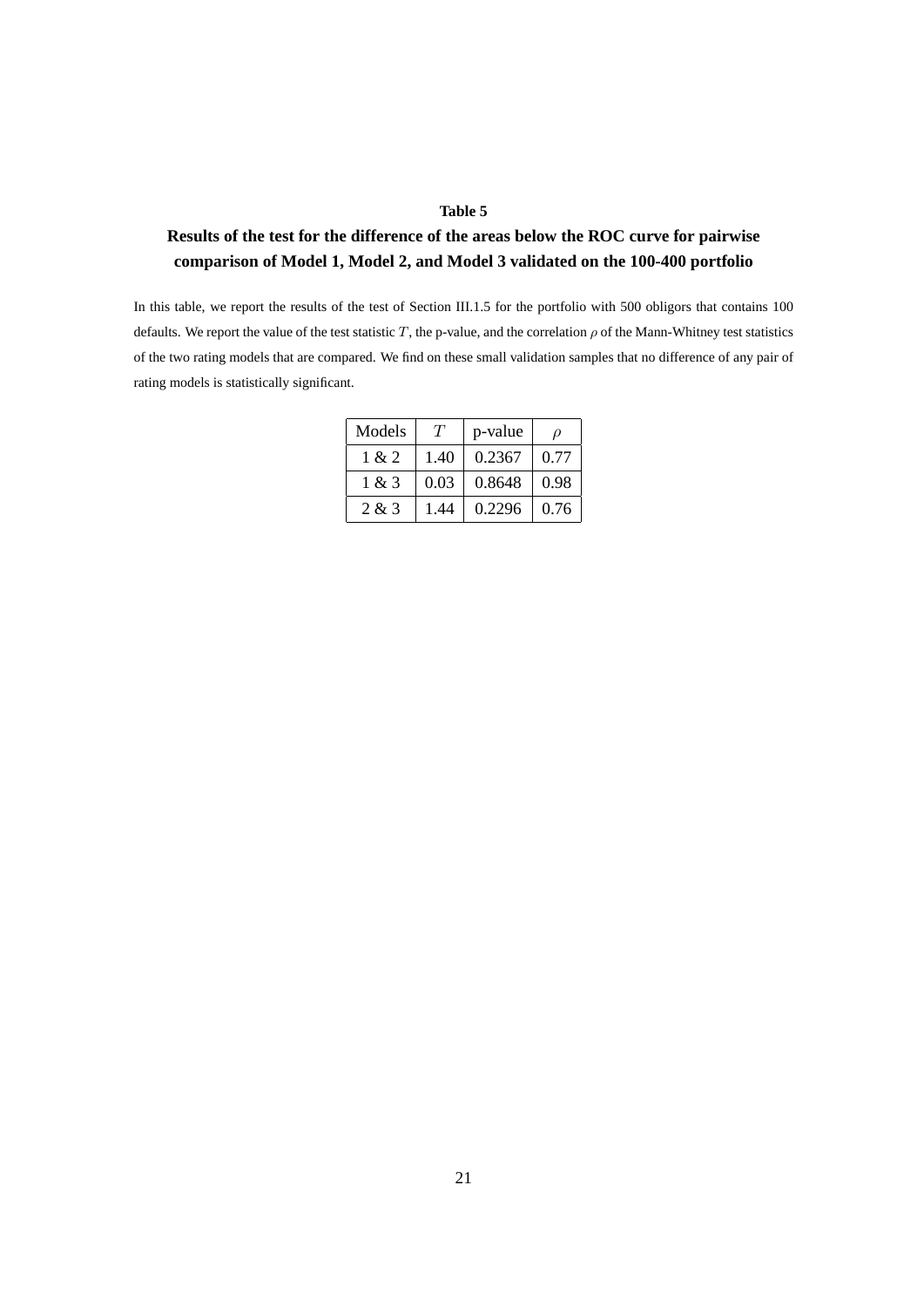#### **Table 5**

## <span id="page-26-0"></span>**Results of the test for the difference of the areas below the ROC curve for pairwise comparison of Model 1, Model 2, and Model 3 validated on the 100-400 portfolio**

In this table, we report the results of the test of Section [III.1.5](#page-16-1) for the portfolio with 500 obligors that contains 100 defaults. We report the value of the test statistic T, the p-value, and the correlation  $\rho$  of the Mann-Whitney test statistics of the two rating models that are compared. We find on these small validation samples that no difference of any pair of rating models is statistically significant.

| Models | T    | p-value | D    |
|--------|------|---------|------|
| 1 & 2  | 1.40 | 0.2367  | 0.77 |
| 1 & 3  | 0.03 | 0.8648  | 0.98 |
| 2 & 3  | 1.44 | 0.2296  | 0.76 |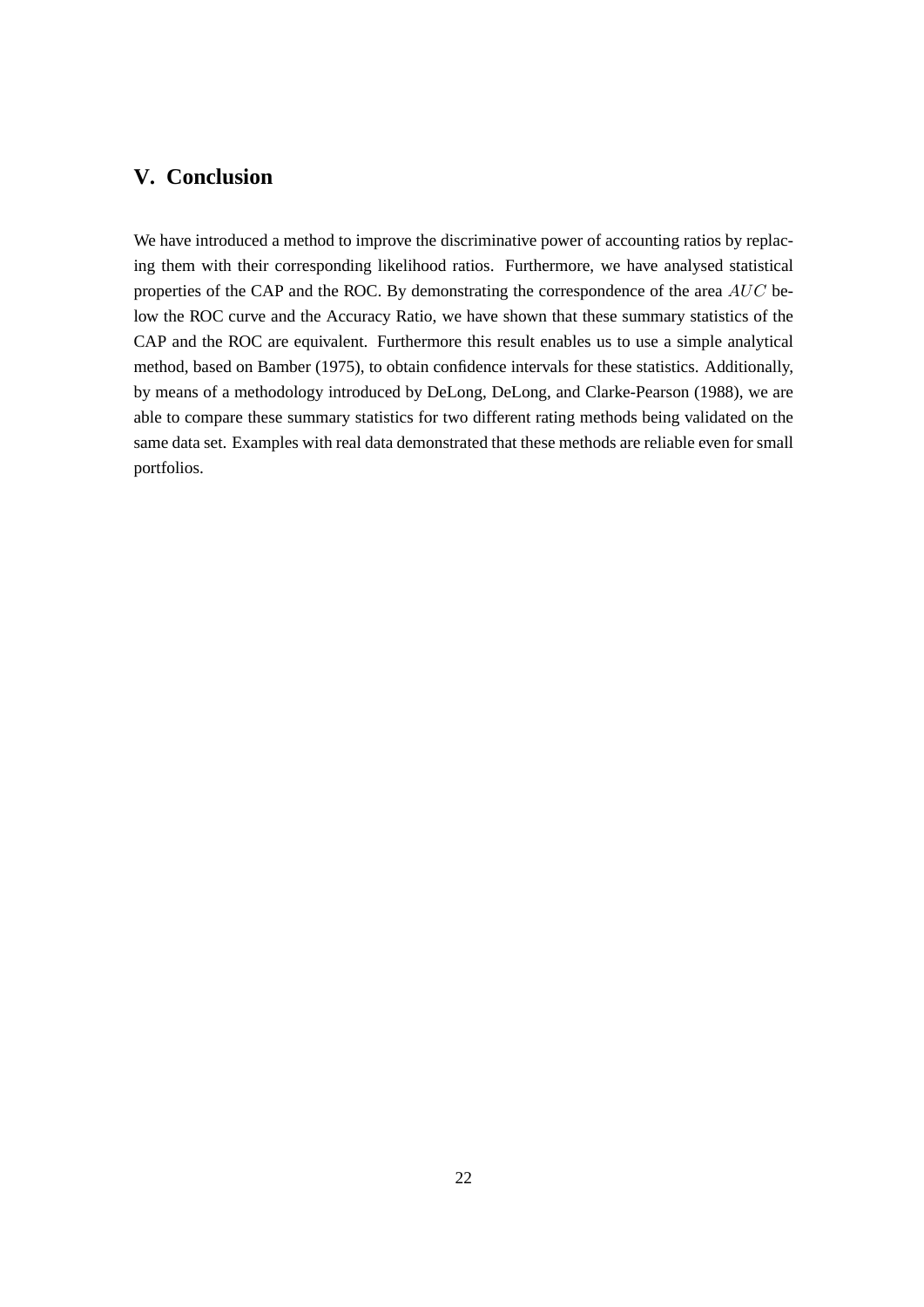## <span id="page-27-0"></span>**V. Conclusion**

We have introduced a method to improve the discriminative power of accounting ratios by replacing them with their corresponding likelihood ratios. Furthermore, we have analysed statistical properties of the CAP and the ROC. By demonstrating the correspondence of the area AUC below the ROC curve and the Accuracy Ratio, we have shown that these summary statistics of the CAP and the ROC are equivalent. Furthermore this result enables us to use a simple analytical method, based on [Bamber](#page-29-6) [\(1975\)](#page-29-6), to obtain confidence intervals for these statistics. Additionally, by means of a methodology introduced by [DeLong, DeLong, and Clarke-Pearson](#page-29-7) [\(1988\)](#page-29-7), we are able to compare these summary statistics for two different rating methods being validated on the same data set. Examples with real data demonstrated that these methods are reliable even for small portfolios.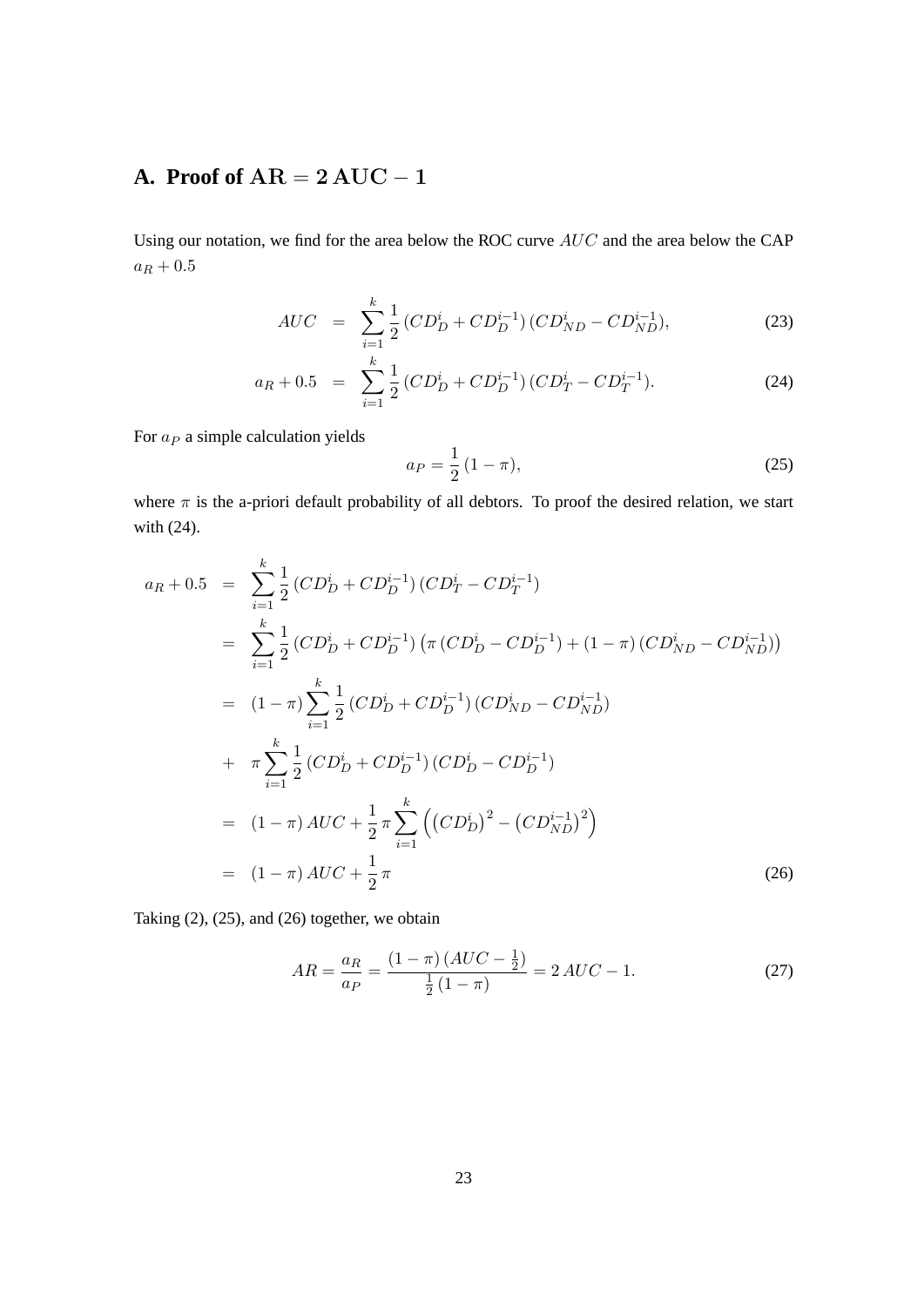## <span id="page-28-0"></span>**A. Proof of**  $AR = 2 AUC - 1$

Using our notation, we find for the area below the ROC curve AUC and the area below the CAP  $a_R + 0.5$ 

<span id="page-28-1"></span>
$$
AUC = \sum_{i=1}^{k} \frac{1}{2} \left( CD_D^i + CD_D^{i-1} \right) \left( CD_{ND}^i - CD_{ND}^{i-1} \right), \tag{23}
$$

$$
a_R + 0.5 = \sum_{i=1}^{k} \frac{1}{2} \left( CD_D^i + CD_D^{i-1} \right) \left( CD_T^i - CD_T^{i-1} \right). \tag{24}
$$

For  $a_P$  a simple calculation yields

<span id="page-28-2"></span>
$$
a_P = \frac{1}{2} (1 - \pi),
$$
\n(25)

where  $\pi$  is the a-priori default probability of all debtors. To proof the desired relation, we start with [\(24\)](#page-28-1).

<span id="page-28-3"></span>
$$
a_R + 0.5 = \sum_{i=1}^{k} \frac{1}{2} (CD_D^i + CD_D^{i-1}) (CD_T^i - CD_T^{i-1})
$$
  
\n
$$
= \sum_{i=1}^{k} \frac{1}{2} (CD_D^i + CD_D^{i-1}) (\pi (CD_D^i - CD_D^{i-1}) + (1 - \pi) (CD_{ND}^i - CD_{ND}^{i-1}))
$$
  
\n
$$
= (1 - \pi) \sum_{i=1}^{k} \frac{1}{2} (CD_D^i + CD_D^{i-1}) (CD_{ND}^i - CD_{ND}^{i-1})
$$
  
\n
$$
+ \pi \sum_{i=1}^{k} \frac{1}{2} (CD_D^i + CD_D^{i-1}) (CD_D^i - CD_D^{i-1})
$$
  
\n
$$
= (1 - \pi) AUC + \frac{1}{2} \pi \sum_{i=1}^{k} ((CD_D^i)^2 - (CD_{ND}^{i-1})^2)
$$
  
\n
$$
= (1 - \pi) AUC + \frac{1}{2} \pi
$$
 (26)

Taking [\(2\)](#page-9-1), [\(25\)](#page-28-2), and [\(26\)](#page-28-3) together, we obtain

$$
AR = \frac{a_R}{a_P} = \frac{(1 - \pi)(AUC - \frac{1}{2})}{\frac{1}{2}(1 - \pi)} = 2AUC - 1.
$$
 (27)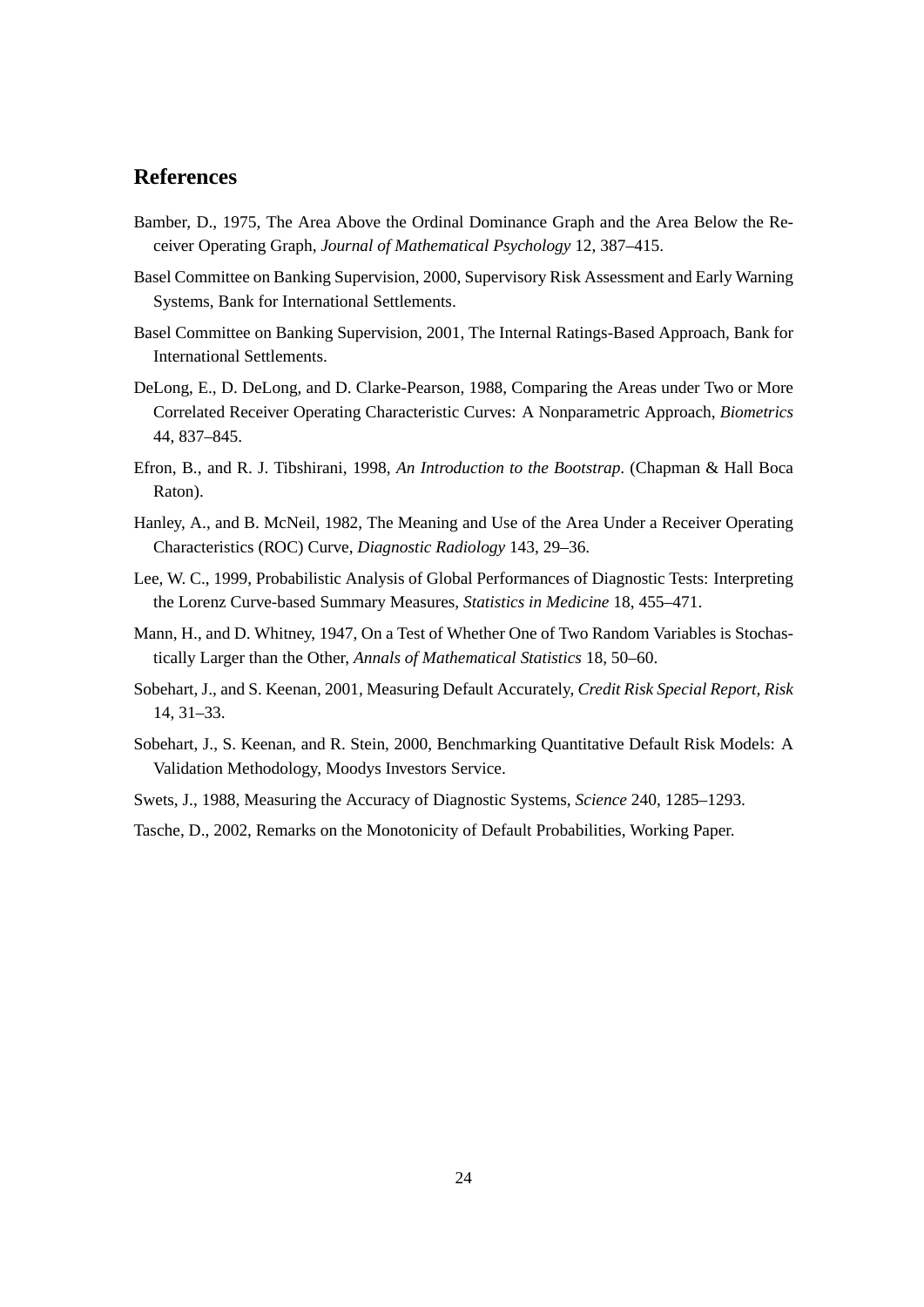## **References**

- <span id="page-29-6"></span>Bamber, D., 1975, The Area Above the Ordinal Dominance Graph and the Area Below the Receiver Operating Graph, *Journal of Mathematical Psychology* 12, 387–415.
- <span id="page-29-1"></span>Basel Committee on Banking Supervision, 2000, Supervisory Risk Assessment and Early Warning Systems, Bank for International Settlements.
- <span id="page-29-0"></span>Basel Committee on Banking Supervision, 2001, The Internal Ratings-Based Approach, Bank for International Settlements.
- <span id="page-29-7"></span>DeLong, E., D. DeLong, and D. Clarke-Pearson, 1988, Comparing the Areas under Two or More Correlated Receiver Operating Characteristic Curves: A Nonparametric Approach, *Biometrics* 44, 837–845.
- <span id="page-29-11"></span>Efron, B., and R. J. Tibshirani, 1998, *An Introduction to the Bootstrap*. (Chapman & Hall Boca Raton).
- <span id="page-29-3"></span>Hanley, A., and B. McNeil, 1982, The Meaning and Use of the Area Under a Receiver Operating Characteristics (ROC) Curve, *Diagnostic Radiology* 143, 29–36.
- <span id="page-29-9"></span>Lee, W. C., 1999, Probabilistic Analysis of Global Performances of Diagnostic Tests: Interpreting the Lorenz Curve-based Summary Measures, *Statistics in Medicine* 18, 455–471.
- <span id="page-29-10"></span>Mann, H., and D. Whitney, 1947, On a Test of Whether One of Two Random Variables is Stochastically Larger than the Other, *Annals of Mathematical Statistics* 18, 50–60.
- <span id="page-29-4"></span>Sobehart, J., and S. Keenan, 2001, Measuring Default Accurately, *Credit Risk Special Report, Risk* 14, 31–33.
- <span id="page-29-2"></span>Sobehart, J., S. Keenan, and R. Stein, 2000, Benchmarking Quantitative Default Risk Models: A Validation Methodology, Moodys Investors Service.
- <span id="page-29-5"></span>Swets, J., 1988, Measuring the Accuracy of Diagnostic Systems, *Science* 240, 1285–1293.
- <span id="page-29-8"></span>Tasche, D., 2002, Remarks on the Monotonicity of Default Probabilities, Working Paper.